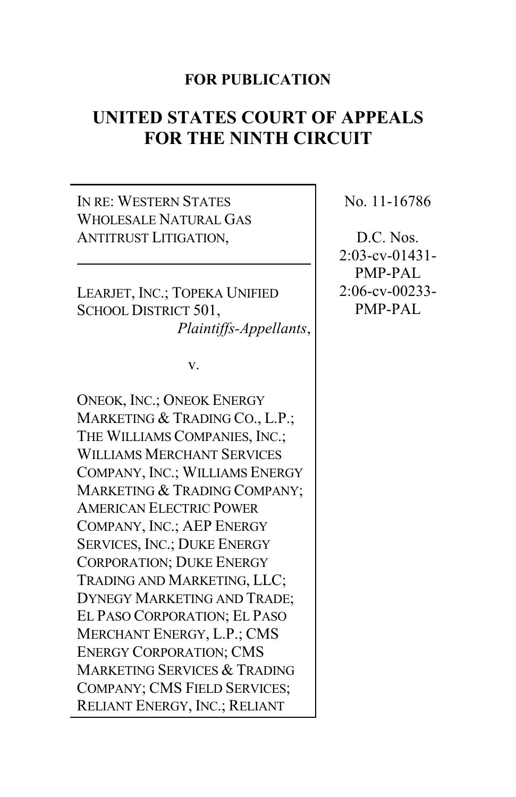#### **FOR PUBLICATION**

# **UNITED STATES COURT OF APPEALS FOR THE NINTH CIRCUIT**

IN RE: WESTERN STATES WHOLESALE NATURAL GAS ANTITRUST LITIGATION,

LEARJET, INC.; TOPEKA UNIFIED SCHOOL DISTRICT 501, *Plaintiffs-Appellants*,

v.

ONEOK, INC.; ONEOK ENERGY MARKETING & TRADING CO., L.P.; THE WILLIAMS COMPANIES, INC.; WILLIAMS MERCHANT SERVICES COMPANY, INC.; WILLIAMS ENERGY MARKETING & TRADING COMPANY; AMERICAN ELECTRIC POWER COMPANY, INC.; AEP ENERGY SERVICES, INC.; DUKE ENERGY CORPORATION; DUKE ENERGY TRADING AND MARKETING, LLC; DYNEGY MARKETING AND TRADE; EL PASO CORPORATION; EL PASO MERCHANT ENERGY, L.P.; CMS ENERGY CORPORATION; CMS MARKETING SERVICES & TRADING COMPANY; CMS FIELD SERVICES; RELIANT ENERGY, INC.; RELIANT

No. 11-16786

D.C. Nos. 2:03-cv-01431- PMP-PAL 2:06-cv-00233- PMP-PAL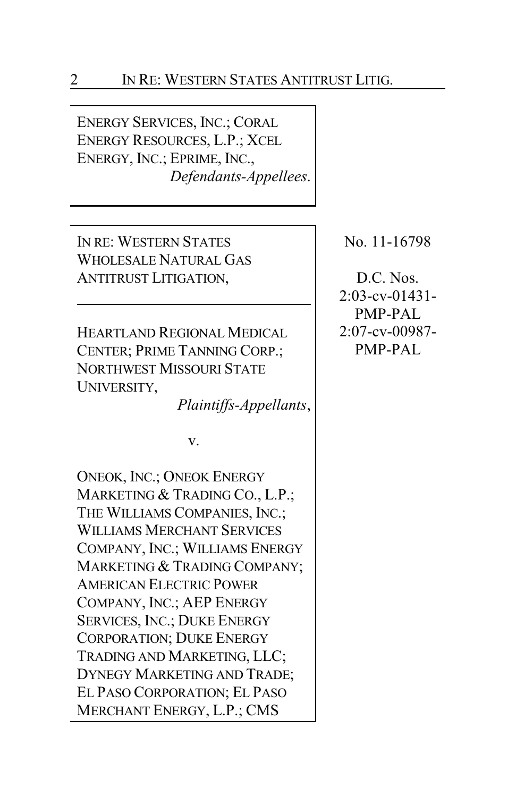ENERGY SERVICES, INC.; CORAL ENERGY RESOURCES, L.P.; XCEL ENERGY, INC.; EPRIME, INC., *Defendants-Appellees*.

IN RE: WESTERN STATES WHOLESALE NATURAL GAS ANTITRUST LITIGATION,

HEARTLAND REGIONAL MEDICAL CENTER; PRIME TANNING CORP.; NORTHWEST MISSOURI STATE UNIVERSITY,

*Plaintiffs-Appellants*,

v.

ONEOK, INC.; ONEOK ENERGY MARKETING & TRADING CO., L.P.; THE WILLIAMS COMPANIES, INC.; WILLIAMS MERCHANT SERVICES COMPANY, INC.; WILLIAMS ENERGY MARKETING & TRADING COMPANY; AMERICAN ELECTRIC POWER COMPANY, INC.; AEP ENERGY SERVICES, INC.; DUKE ENERGY CORPORATION; DUKE ENERGY TRADING AND MARKETING, LLC; DYNEGY MARKETING AND TRADE; EL PASO CORPORATION; EL PASO MERCHANT ENERGY, L.P.; CMS

No. 11-16798

D.C. Nos. 2:03-cv-01431- PMP-PAL 2:07-cv-00987- PMP-PAL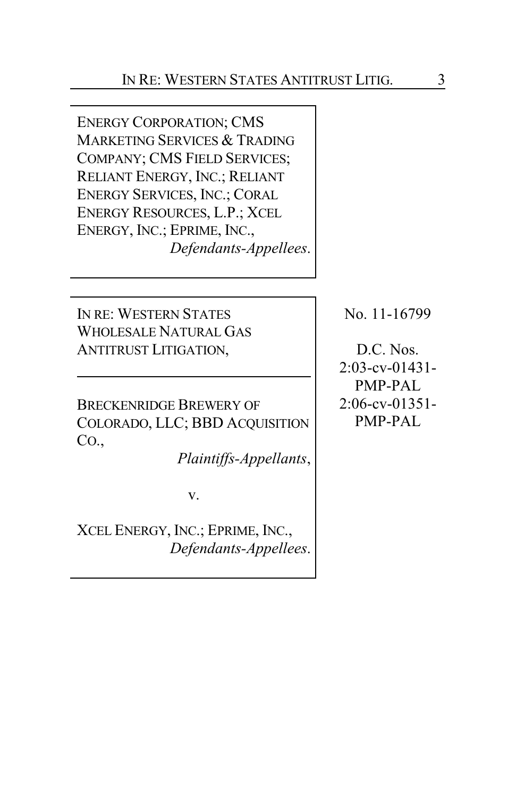ENERGY CORPORATION; CMS MARKETING SERVICES & TRADING COMPANY; CMS FIELD SERVICES; RELIANT ENERGY, INC.; RELIANT ENERGY SERVICES, INC.; CORAL ENERGY RESOURCES, L.P.; XCEL ENERGY, INC.; EPRIME, INC., *Defendants-Appellees*.

IN RE: WESTERN STATES WHOLESALE NATURAL GAS ANTITRUST LITIGATION,

BRECKENRIDGE BREWERY OF COLORADO, LLC; BBD ACQUISITION CO.,

*Plaintiffs-Appellants*,

v.

XCEL ENERGY, INC.; EPRIME, INC., *Defendants-Appellees*. No. 11-16799

D.C. Nos. 2:03-cv-01431- PMP-PAL 2:06-cv-01351- PMP-PAL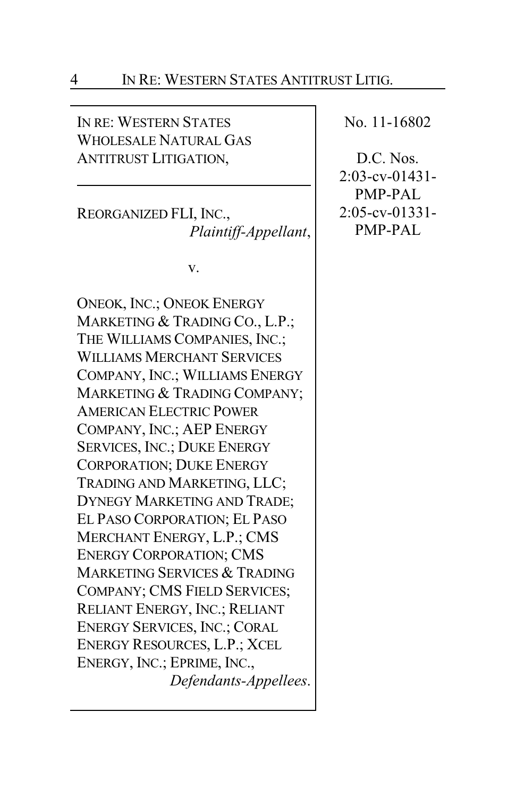IN RE: WESTERN STATES WHOLESALE NATURAL GAS ANTITRUST LITIGATION,

REORGANIZED FLI, INC., *Plaintiff-Appellant*,

v.

ONEOK, INC.; ONEOK ENERGY MARKETING & TRADING CO., L.P.; THE WILLIAMS COMPANIES, INC.; WILLIAMS MERCHANT SERVICES COMPANY, INC.; WILLIAMS ENERGY MARKETING & TRADING COMPANY; AMERICAN ELECTRIC POWER COMPANY, INC.; AEP ENERGY SERVICES, INC.; DUKE ENERGY CORPORATION; DUKE ENERGY TRADING AND MARKETING, LLC; DYNEGY MARKETING AND TRADE; EL PASO CORPORATION; EL PASO MERCHANT ENERGY, L.P.; CMS ENERGY CORPORATION; CMS MARKETING SERVICES & TRADING COMPANY; CMS FIELD SERVICES; RELIANT ENERGY, INC.; RELIANT ENERGY SERVICES, INC.; CORAL ENERGY RESOURCES, L.P.; XCEL ENERGY, INC.; EPRIME, INC., *Defendants-Appellees*. No. 11-16802

D.C. Nos. 2:03-cv-01431- PMP-PAL 2:05-cv-01331- PMP-PAL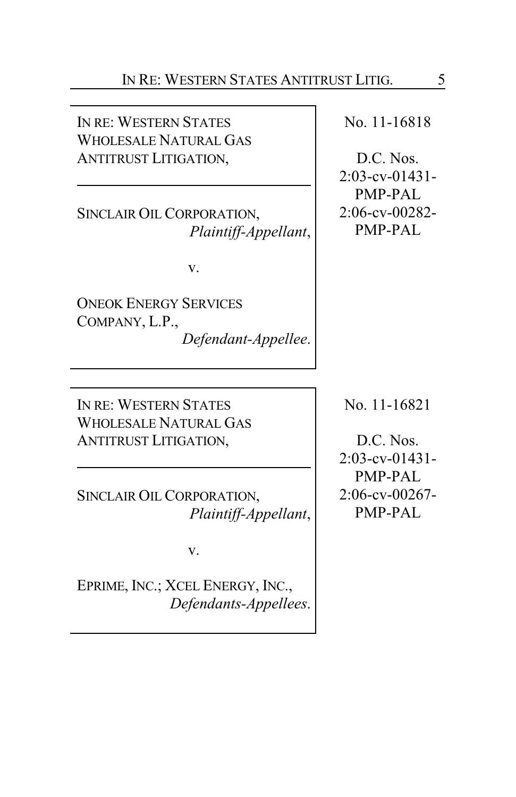IN RE: WESTERN STATES WHOLESALE NATURAL GAS ANTITRUST LITIGATION,

SINCLAIR OIL CORPORATION, *Plaintiff-Appellant*,

v.

ONEOK ENERGY SERVICES COMPANY, L.P., *Defendant-Appellee*.

IN RE: WESTERN STATES WHOLESALE NATURAL GAS ANTITRUST LITIGATION,

SINCLAIR OIL CORPORATION, *Plaintiff-Appellant*,

v.

EPRIME, INC.; XCEL ENERGY, INC., *Defendants-Appellees*. No. 11-16818

D.C. Nos. 2:03-cv-01431- PMP-PAL 2:06-cv-00282- PMP-PAL

No. 11-16821

D.C. Nos. 2:03-cv-01431- PMP-PAL 2:06-cv-00267- PMP-PAL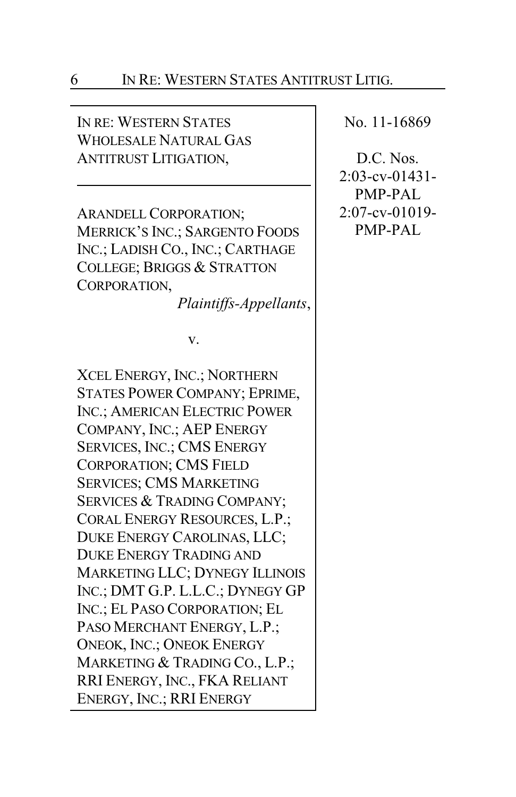IN RE: WESTERN STATES WHOLESALE NATURAL GAS ANTITRUST LITIGATION,

ARANDELL CORPORATION; MERRICK'S INC.; SARGENTO FOODS INC.; LADISH CO., INC.; CARTHAGE COLLEGE; BRIGGS & STRATTON CORPORATION,

*Plaintiffs-Appellants*,

v.

XCEL ENERGY, INC.; NORTHERN STATES POWER COMPANY; EPRIME, INC.; AMERICAN ELECTRIC POWER COMPANY, INC.; AEP ENERGY SERVICES, INC.; CMS ENERGY CORPORATION; CMS FIELD SERVICES; CMS MARKETING SERVICES & TRADING COMPANY; CORAL ENERGY RESOURCES, L.P.; DUKE ENERGY CAROLINAS, LLC; DUKE ENERGY TRADING AND MARKETING LLC; DYNEGY ILLINOIS INC.; DMT G.P. L.L.C.; DYNEGY GP INC.; EL PASO CORPORATION; EL PASO MERCHANT ENERGY, L.P.; ONEOK, INC.; ONEOK ENERGY MARKETING & TRADING CO., L.P.; RRI ENERGY, INC., FKA RELIANT ENERGY, INC.; RRI ENERGY

No. 11-16869

D.C. Nos. 2:03-cv-01431- PMP-PAL 2:07-cv-01019- PMP-PAL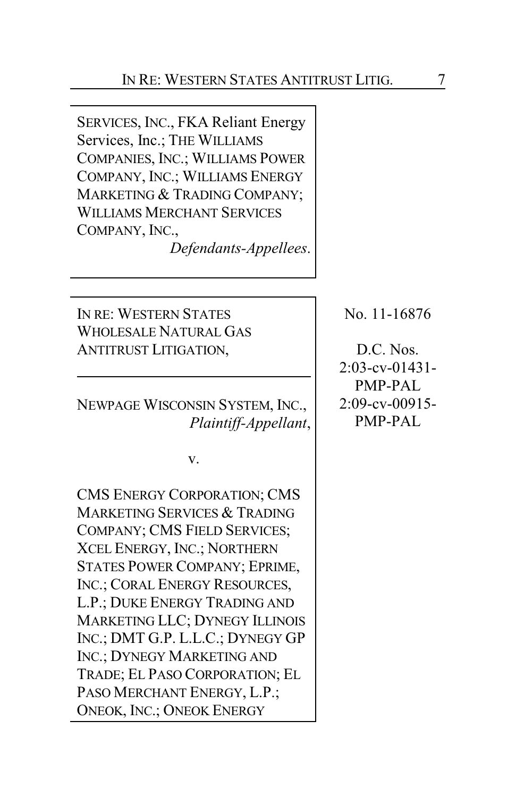SERVICES, INC., FKA Reliant Energy Services, Inc.; THE WILLIAMS COMPANIES, INC.; WILLIAMS POWER COMPANY, INC.; WILLIAMS ENERGY MARKETING & TRADING COMPANY; WILLIAMS MERCHANT SERVICES COMPANY, INC.,

*Defendants-Appellees*.

IN RE: WESTERN STATES WHOLESALE NATURAL GAS ANTITRUST LITIGATION,

NEWPAGE WISCONSIN SYSTEM, INC., *Plaintiff-Appellant*,

v.

CMS ENERGY CORPORATION; CMS MARKETING SERVICES & TRADING COMPANY; CMS FIELD SERVICES; XCEL ENERGY, INC.; NORTHERN STATES POWER COMPANY; EPRIME, INC.; CORAL ENERGY RESOURCES, L.P.; DUKE ENERGY TRADING AND MARKETING LLC; DYNEGY ILLINOIS INC.; DMT G.P. L.L.C.; DYNEGY GP INC.; DYNEGY MARKETING AND TRADE; EL PASO CORPORATION; EL PASO MERCHANT ENERGY, L.P.; ONEOK, INC.; ONEOK ENERGY

No. 11-16876

D.C. Nos. 2:03-cv-01431- PMP-PAL  $2.09$ -cv-00915-PMP-PAL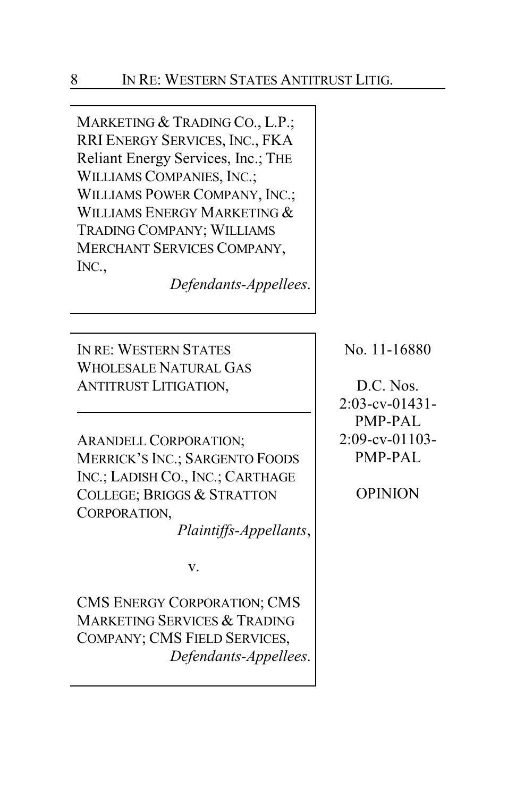MARKETING & TRADING CO., L.P.; RRI ENERGY SERVICES, INC., FKA Reliant Energy Services, Inc.; THE WILLIAMS COMPANIES, INC.; WILLIAMS POWER COMPANY, INC.; WILLIAMS ENERGY MARKETING & TRADING COMPANY; WILLIAMS MERCHANT SERVICES COMPANY, INC.,

*Defendants-Appellees*.

IN RE: WESTERN STATES WHOLESALE NATURAL GAS ANTITRUST LITIGATION,

ARANDELL CORPORATION; MERRICK'S INC.; SARGENTO FOODS INC.; LADISH CO., INC.; CARTHAGE COLLEGE; BRIGGS & STRATTON CORPORATION,

*Plaintiffs-Appellants*,

v.

CMS ENERGY CORPORATION; CMS MARKETING SERVICES & TRADING COMPANY; CMS FIELD SERVICES, *Defendants-Appellees*. No. 11-16880

D.C. Nos. 2:03-cv-01431- PMP-PAL 2:09-cv-01103- PMP-PAL

OPINION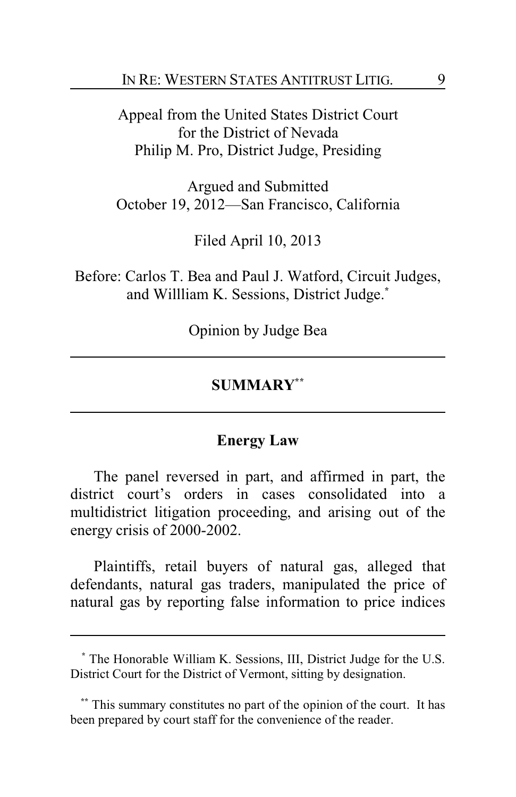Appeal from the United States District Court for the District of Nevada Philip M. Pro, District Judge, Presiding

Argued and Submitted October 19, 2012—San Francisco, California

Filed April 10, 2013

Before: Carlos T. Bea and Paul J. Watford, Circuit Judges, and Willliam K. Sessions, District Judge.**\***

Opinion by Judge Bea

#### **SUMMARY\*\***

#### **Energy Law**

The panel reversed in part, and affirmed in part, the district court's orders in cases consolidated into a multidistrict litigation proceeding, and arising out of the energy crisis of 2000-2002.

Plaintiffs, retail buyers of natural gas, alleged that defendants, natural gas traders, manipulated the price of natural gas by reporting false information to price indices

**<sup>\*</sup>** The Honorable William K. Sessions, III, District Judge for the U.S. District Court for the District of Vermont, sitting by designation.

This summary constitutes no part of the opinion of the court. It has been prepared by court staff for the convenience of the reader.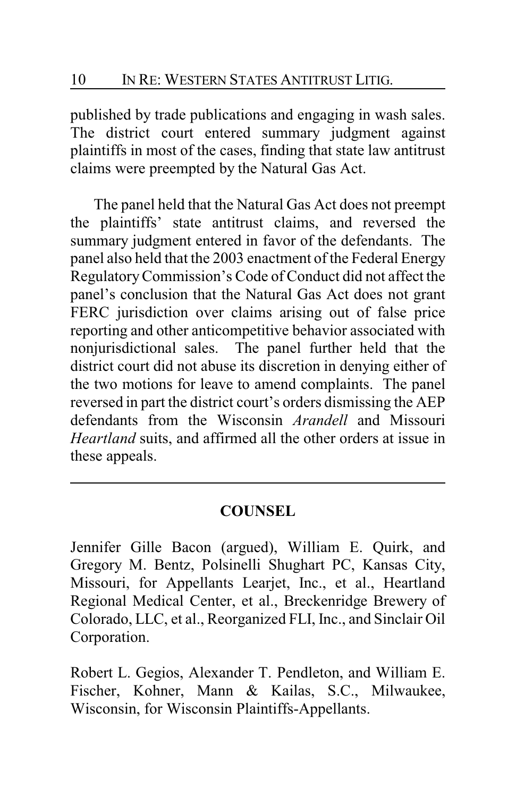published by trade publications and engaging in wash sales. The district court entered summary judgment against plaintiffs in most of the cases, finding that state law antitrust claims were preempted by the Natural Gas Act.

The panel held that the Natural Gas Act does not preempt the plaintiffs' state antitrust claims, and reversed the summary judgment entered in favor of the defendants. The panel also held that the 2003 enactment of the Federal Energy RegulatoryCommission's Code of Conduct did not affect the panel's conclusion that the Natural Gas Act does not grant FERC jurisdiction over claims arising out of false price reporting and other anticompetitive behavior associated with nonjurisdictional sales. The panel further held that the district court did not abuse its discretion in denying either of the two motions for leave to amend complaints. The panel reversed in part the district court's orders dismissing the AEP defendants from the Wisconsin *Arandell* and Missouri *Heartland* suits, and affirmed all the other orders at issue in these appeals.

#### **COUNSEL**

Jennifer Gille Bacon (argued), William E. Quirk, and Gregory M. Bentz, Polsinelli Shughart PC, Kansas City, Missouri, for Appellants Learjet, Inc., et al., Heartland Regional Medical Center, et al., Breckenridge Brewery of Colorado, LLC, et al., Reorganized FLI, Inc., and Sinclair Oil Corporation.

Robert L. Gegios, Alexander T. Pendleton, and William E. Fischer, Kohner, Mann & Kailas, S.C., Milwaukee, Wisconsin, for Wisconsin Plaintiffs-Appellants.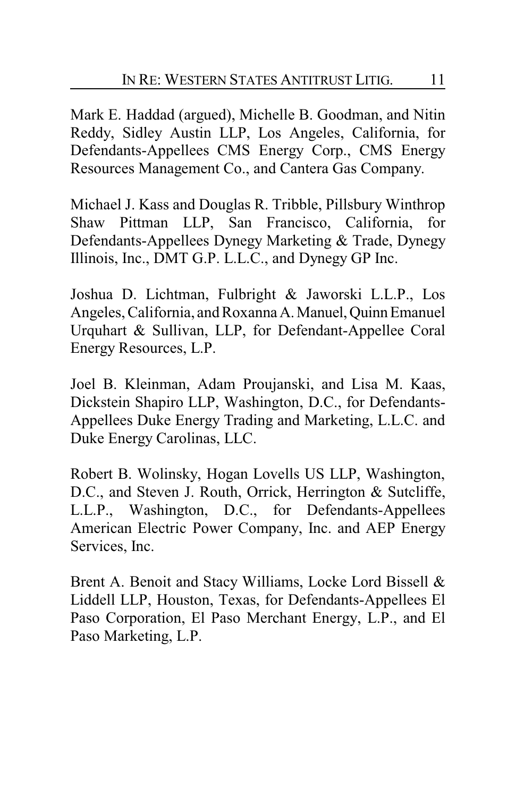Mark E. Haddad (argued), Michelle B. Goodman, and Nitin Reddy, Sidley Austin LLP, Los Angeles, California, for Defendants-Appellees CMS Energy Corp., CMS Energy Resources Management Co., and Cantera Gas Company.

Michael J. Kass and Douglas R. Tribble, Pillsbury Winthrop Shaw Pittman LLP, San Francisco, California, for Defendants-Appellees Dynegy Marketing & Trade, Dynegy Illinois, Inc., DMT G.P. L.L.C., and Dynegy GP Inc.

Joshua D. Lichtman, Fulbright & Jaworski L.L.P., Los Angeles, California, and Roxanna A. Manuel, Quinn Emanuel Urquhart & Sullivan, LLP, for Defendant-Appellee Coral Energy Resources, L.P.

Joel B. Kleinman, Adam Proujanski, and Lisa M. Kaas, Dickstein Shapiro LLP, Washington, D.C., for Defendants-Appellees Duke Energy Trading and Marketing, L.L.C. and Duke Energy Carolinas, LLC.

Robert B. Wolinsky, Hogan Lovells US LLP, Washington, D.C., and Steven J. Routh, Orrick, Herrington & Sutcliffe, L.L.P., Washington, D.C., for Defendants-Appellees American Electric Power Company, Inc. and AEP Energy Services, Inc.

Brent A. Benoit and Stacy Williams, Locke Lord Bissell & Liddell LLP, Houston, Texas, for Defendants-Appellees El Paso Corporation, El Paso Merchant Energy, L.P., and El Paso Marketing, L.P.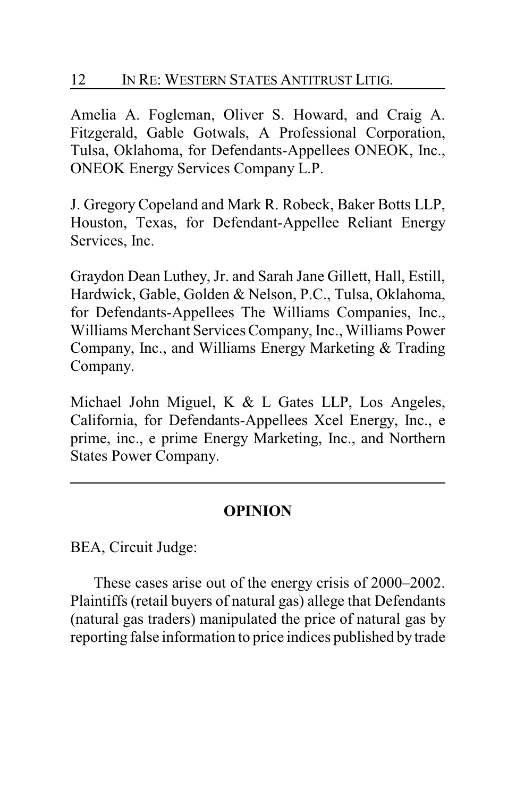Amelia A. Fogleman, Oliver S. Howard, and Craig A. Fitzgerald, Gable Gotwals, A Professional Corporation, Tulsa, Oklahoma, for Defendants-Appellees ONEOK, Inc., ONEOK Energy Services Company L.P.

J. Gregory Copeland and Mark R. Robeck, Baker Botts LLP, Houston, Texas, for Defendant-Appellee Reliant Energy Services, Inc.

Graydon Dean Luthey, Jr. and Sarah Jane Gillett, Hall, Estill, Hardwick, Gable, Golden & Nelson, P.C., Tulsa, Oklahoma, for Defendants-Appellees The Williams Companies, Inc., Williams Merchant Services Company, Inc., Williams Power Company, Inc., and Williams Energy Marketing & Trading Company.

Michael John Miguel, K & L Gates LLP, Los Angeles, California, for Defendants-Appellees Xcel Energy, Inc., e prime, inc., e prime Energy Marketing, Inc., and Northern States Power Company.

# **OPINION**

BEA, Circuit Judge:

These cases arise out of the energy crisis of 2000–2002. Plaintiffs (retail buyers of natural gas) allege that Defendants (natural gas traders) manipulated the price of natural gas by reporting false information to price indices published by trade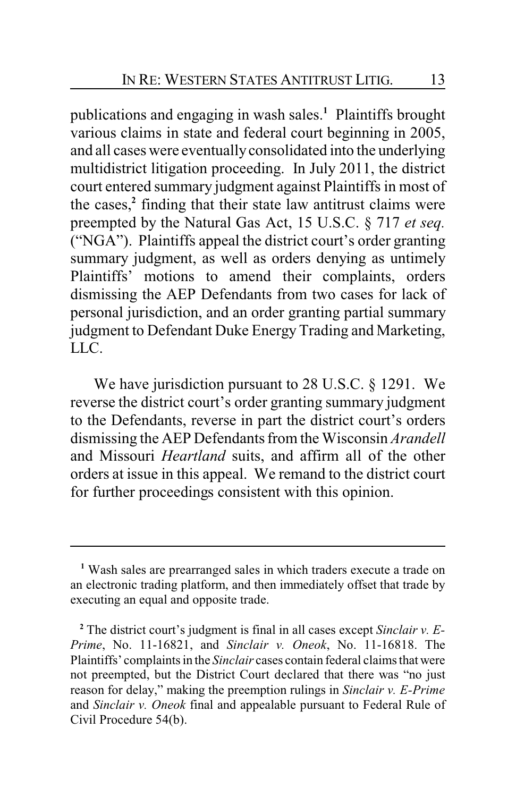publications and engaging in wash sales.**<sup>1</sup>** Plaintiffs brought various claims in state and federal court beginning in 2005, and all cases were eventuallyconsolidated into the underlying multidistrict litigation proceeding. In July 2011, the district court entered summary judgment against Plaintiffs in most of the cases,**<sup>2</sup>** finding that their state law antitrust claims were preempted by the Natural Gas Act, 15 U.S.C. § 717 *et seq.* ("NGA"). Plaintiffs appeal the district court's order granting summary judgment, as well as orders denying as untimely Plaintiffs' motions to amend their complaints, orders dismissing the AEP Defendants from two cases for lack of personal jurisdiction, and an order granting partial summary judgment to Defendant Duke Energy Trading and Marketing, LLC.

We have jurisdiction pursuant to 28 U.S.C. § 1291. We reverse the district court's order granting summary judgment to the Defendants, reverse in part the district court's orders dismissing the AEP Defendants from the Wisconsin *Arandell* and Missouri *Heartland* suits, and affirm all of the other orders at issue in this appeal. We remand to the district court for further proceedings consistent with this opinion.

**<sup>1</sup>** Wash sales are prearranged sales in which traders execute a trade on an electronic trading platform, and then immediately offset that trade by executing an equal and opposite trade.

**<sup>2</sup>** The district court's judgment is final in all cases except *Sinclair v. E-Prime*, No. 11-16821, and *Sinclair v. Oneok*, No. 11-16818. The Plaintiffs' complaints in the *Sinclair* cases contain federal claims that were not preempted, but the District Court declared that there was "no just reason for delay," making the preemption rulings in *Sinclair v. E-Prime* and *Sinclair v. Oneok* final and appealable pursuant to Federal Rule of Civil Procedure 54(b).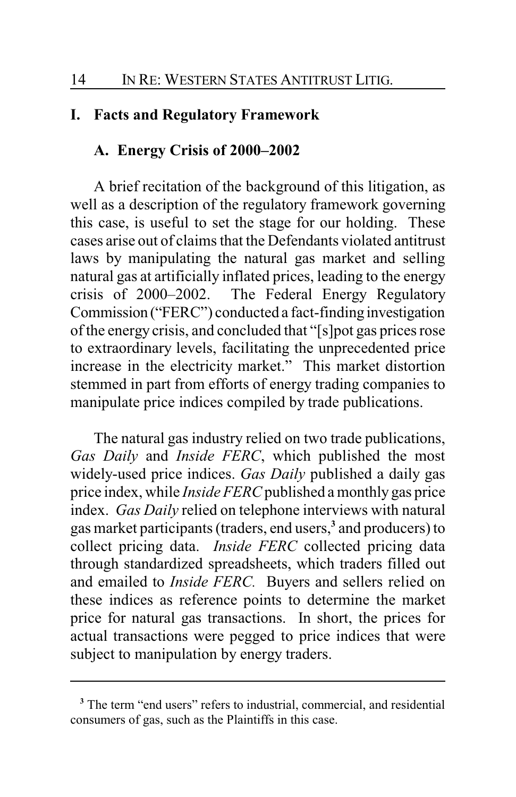#### **I. Facts and Regulatory Framework**

### **A. Energy Crisis of 2000–2002**

A brief recitation of the background of this litigation, as well as a description of the regulatory framework governing this case, is useful to set the stage for our holding. These cases arise out of claims that the Defendants violated antitrust laws by manipulating the natural gas market and selling natural gas at artificially inflated prices, leading to the energy crisis of 2000–2002. The Federal Energy Regulatory Commission ("FERC") conducted a fact-finding investigation of the energy crisis, and concluded that "[s]pot gas prices rose to extraordinary levels, facilitating the unprecedented price increase in the electricity market." This market distortion stemmed in part from efforts of energy trading companies to manipulate price indices compiled by trade publications.

The natural gas industry relied on two trade publications, *Gas Daily* and *Inside FERC*, which published the most widely-used price indices. *Gas Daily* published a daily gas price index, while *Inside FERC* published a monthly gas price index. *Gas Daily* relied on telephone interviews with natural gas market participants (traders, end users,**<sup>3</sup>** and producers) to collect pricing data. *Inside FERC* collected pricing data through standardized spreadsheets, which traders filled out and emailed to *Inside FERC.* Buyers and sellers relied on these indices as reference points to determine the market price for natural gas transactions. In short, the prices for actual transactions were pegged to price indices that were subject to manipulation by energy traders.

<sup>&</sup>lt;sup>3</sup> The term "end users" refers to industrial, commercial, and residential consumers of gas, such as the Plaintiffs in this case.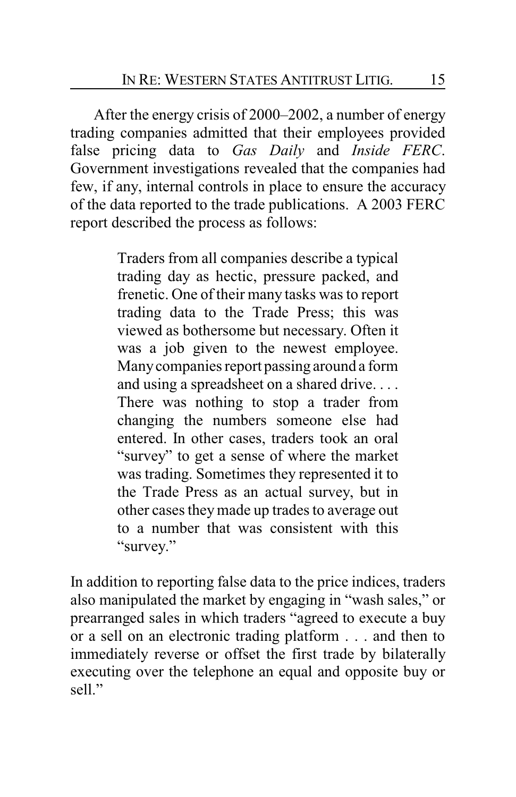After the energy crisis of 2000–2002, a number of energy trading companies admitted that their employees provided false pricing data to *Gas Daily* and *Inside FERC*. Government investigations revealed that the companies had few, if any, internal controls in place to ensure the accuracy of the data reported to the trade publications. A 2003 FERC report described the process as follows:

> Traders from all companies describe a typical trading day as hectic, pressure packed, and frenetic. One of their many tasks was to report trading data to the Trade Press; this was viewed as bothersome but necessary. Often it was a job given to the newest employee. Manycompanies report passing around a form and using a spreadsheet on a shared drive. . . . There was nothing to stop a trader from changing the numbers someone else had entered. In other cases, traders took an oral "survey" to get a sense of where the market was trading. Sometimes they represented it to the Trade Press as an actual survey, but in other cases theymade up trades to average out to a number that was consistent with this "survey."

In addition to reporting false data to the price indices, traders also manipulated the market by engaging in "wash sales," or prearranged sales in which traders "agreed to execute a buy or a sell on an electronic trading platform . . . and then to immediately reverse or offset the first trade by bilaterally executing over the telephone an equal and opposite buy or sell."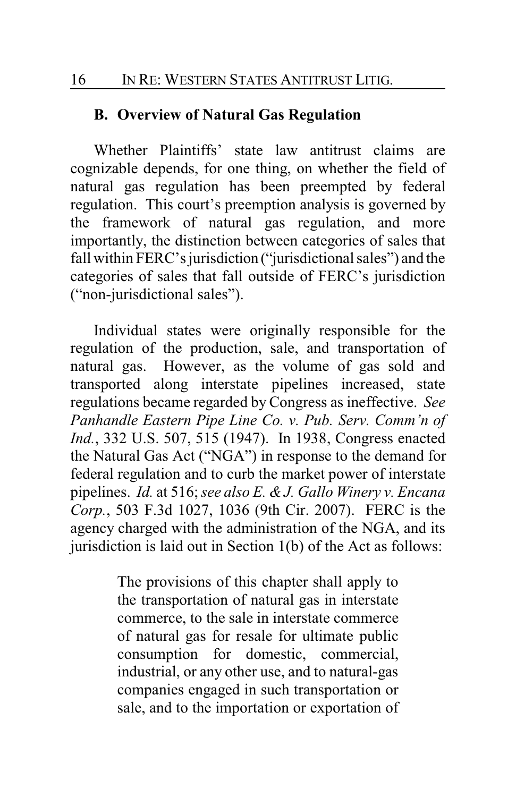### **B. Overview of Natural Gas Regulation**

Whether Plaintiffs' state law antitrust claims are cognizable depends, for one thing, on whether the field of natural gas regulation has been preempted by federal regulation. This court's preemption analysis is governed by the framework of natural gas regulation, and more importantly, the distinction between categories of sales that fall within FERC's jurisdiction ("jurisdictional sales") and the categories of sales that fall outside of FERC's jurisdiction ("non-jurisdictional sales").

Individual states were originally responsible for the regulation of the production, sale, and transportation of natural gas. However, as the volume of gas sold and transported along interstate pipelines increased, state regulations became regarded by Congress as ineffective. *See Panhandle Eastern Pipe Line Co. v. Pub. Serv. Comm'n of Ind.*, 332 U.S. 507, 515 (1947). In 1938, Congress enacted the Natural Gas Act ("NGA") in response to the demand for federal regulation and to curb the market power of interstate pipelines. *Id.* at 516; *see also E. &J. Gallo Winery v. Encana Corp.*, 503 F.3d 1027, 1036 (9th Cir. 2007). FERC is the agency charged with the administration of the NGA, and its jurisdiction is laid out in Section 1(b) of the Act as follows:

> The provisions of this chapter shall apply to the transportation of natural gas in interstate commerce, to the sale in interstate commerce of natural gas for resale for ultimate public consumption for domestic, commercial, industrial, or any other use, and to natural-gas companies engaged in such transportation or sale, and to the importation or exportation of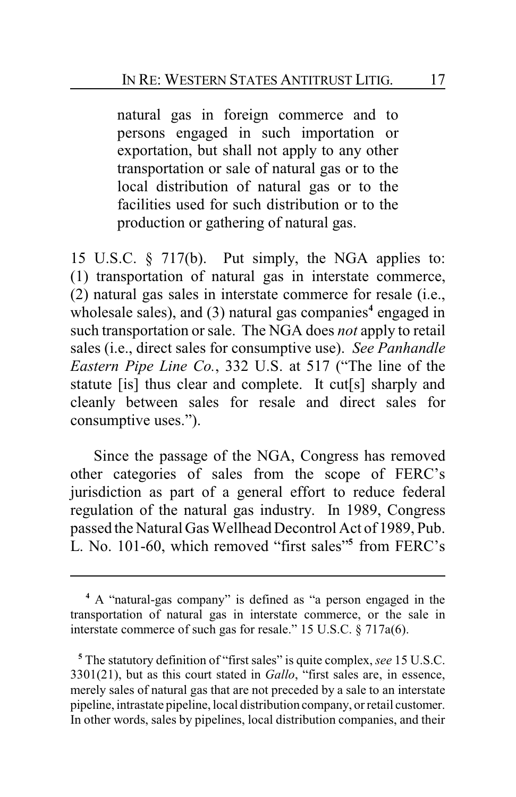natural gas in foreign commerce and to persons engaged in such importation or exportation, but shall not apply to any other transportation or sale of natural gas or to the local distribution of natural gas or to the facilities used for such distribution or to the production or gathering of natural gas.

15 U.S.C. § 717(b). Put simply, the NGA applies to: (1) transportation of natural gas in interstate commerce, (2) natural gas sales in interstate commerce for resale (i.e., wholesale sales), and (3) natural gas companies<sup>4</sup> engaged in such transportation or sale. The NGA does *not* apply to retail sales (i.e., direct sales for consumptive use). *See Panhandle Eastern Pipe Line Co.*, 332 U.S. at 517 ("The line of the statute [is] thus clear and complete. It cut[s] sharply and cleanly between sales for resale and direct sales for consumptive uses.").

Since the passage of the NGA, Congress has removed other categories of sales from the scope of FERC's jurisdiction as part of a general effort to reduce federal regulation of the natural gas industry. In 1989, Congress passed the Natural Gas Wellhead Decontrol Act of 1989, Pub. L. No. 101-60, which removed "first sales"**<sup>5</sup>** from FERC's

**<sup>4</sup>** A "natural-gas company" is defined as "a person engaged in the transportation of natural gas in interstate commerce, or the sale in interstate commerce of such gas for resale." 15 U.S.C. § 717a(6).

**<sup>5</sup>** The statutory definition of "first sales" is quite complex, *see* 15 U.S.C. 3301(21), but as this court stated in *Gallo*, "first sales are, in essence, merely sales of natural gas that are not preceded by a sale to an interstate pipeline, intrastate pipeline, local distribution company, or retail customer. In other words, sales by pipelines, local distribution companies, and their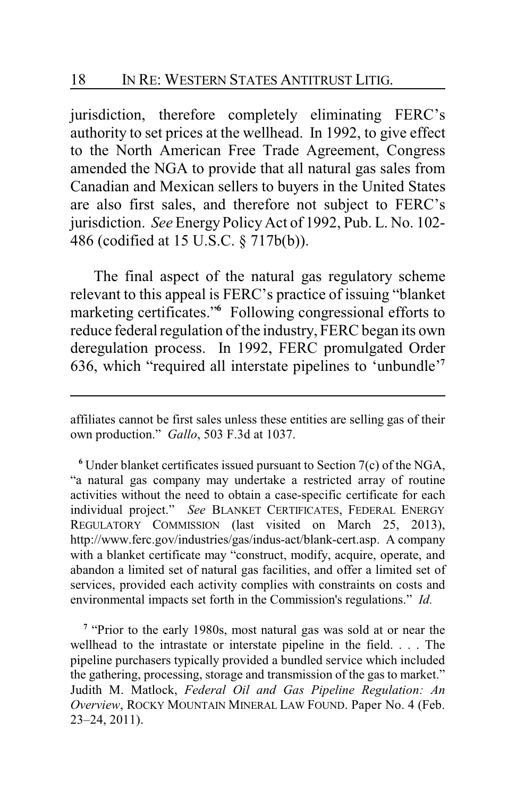jurisdiction, therefore completely eliminating FERC's authority to set prices at the wellhead. In 1992, to give effect to the North American Free Trade Agreement, Congress amended the NGA to provide that all natural gas sales from Canadian and Mexican sellers to buyers in the United States are also first sales, and therefore not subject to FERC's jurisdiction. *See* Energy Policy Act of 1992, Pub. L. No. 102-486 (codified at 15 U.S.C. § 717b(b)).

The final aspect of the natural gas regulatory scheme relevant to this appeal is FERC's practice of issuing "blanket marketing certificates."**<sup>6</sup>** Following congressional efforts to reduce federal regulation of the industry, FERC began its own deregulation process. In 1992, FERC promulgated Order 636, which "required all interstate pipelines to 'unbundle'**<sup>7</sup>**

<sup>7</sup> "Prior to the early 1980s, most natural gas was sold at or near the wellhead to the intrastate or interstate pipeline in the field. . . . The pipeline purchasers typically provided a bundled service which included the gathering, processing, storage and transmission of the gas to market." Judith M. Matlock, *Federal Oil and Gas Pipeline Regulation: An Overview*, ROCKY MOUNTAIN MINERAL LAW FOUND. Paper No. 4 (Feb. 23–24, 2011).

affiliates cannot be first sales unless these entities are selling gas of their own production." *Gallo*, 503 F.3d at 1037.

**<sup>6</sup>** Under blanket certificates issued pursuant to Section 7(c) of the NGA, "a natural gas company may undertake a restricted array of routine activities without the need to obtain a case-specific certificate for each individual project." *See* BLANKET CERTIFICATES, FEDERAL ENERGY REGULATORY COMMISSION (last visited on March 25, 2013), http://www.ferc.gov/industries/gas/indus-act/blank-cert.asp. A company with a blanket certificate may "construct, modify, acquire, operate, and abandon a limited set of natural gas facilities, and offer a limited set of services, provided each activity complies with constraints on costs and environmental impacts set forth in the Commission's regulations." *Id.*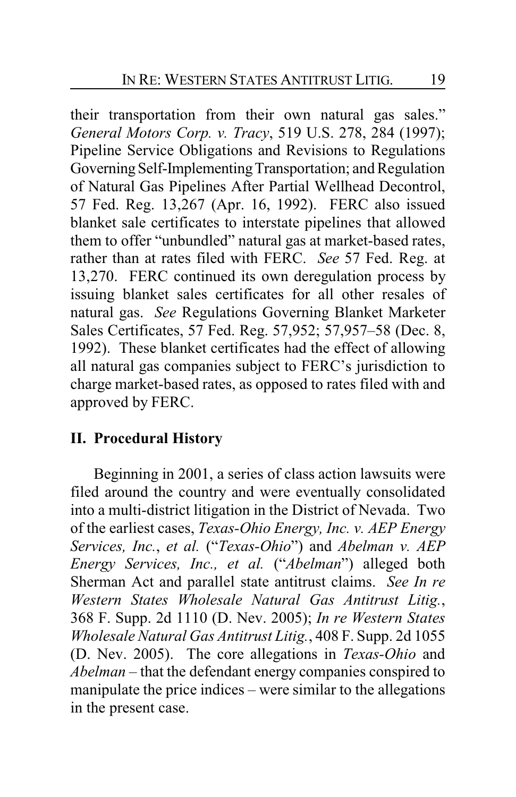their transportation from their own natural gas sales." *General Motors Corp. v. Tracy*, 519 U.S. 278, 284 (1997); Pipeline Service Obligations and Revisions to Regulations GoverningSelf-ImplementingTransportation; and Regulation of Natural Gas Pipelines After Partial Wellhead Decontrol, 57 Fed. Reg. 13,267 (Apr. 16, 1992). FERC also issued blanket sale certificates to interstate pipelines that allowed them to offer "unbundled" natural gas at market-based rates, rather than at rates filed with FERC. *See* 57 Fed. Reg. at 13,270. FERC continued its own deregulation process by issuing blanket sales certificates for all other resales of natural gas. *See* Regulations Governing Blanket Marketer Sales Certificates, 57 Fed. Reg. 57,952; 57,957–58 (Dec. 8, 1992). These blanket certificates had the effect of allowing all natural gas companies subject to FERC's jurisdiction to charge market-based rates, as opposed to rates filed with and approved by FERC.

### **II. Procedural History**

Beginning in 2001, a series of class action lawsuits were filed around the country and were eventually consolidated into a multi-district litigation in the District of Nevada. Two of the earliest cases, *Texas-Ohio Energy, Inc. v. AEP Energy Services, Inc.*, *et al.* ("*Texas-Ohio*") and *Abelman v. AEP Energy Services, Inc., et al.* ("*Abelman*") alleged both Sherman Act and parallel state antitrust claims. *See In re Western States Wholesale Natural Gas Antitrust Litig.*, 368 F. Supp. 2d 1110 (D. Nev. 2005); *In re Western States Wholesale Natural Gas Antitrust Litig.*, 408 F. Supp. 2d 1055 (D. Nev. 2005). The core allegations in *Texas-Ohio* and *Abelman –* that the defendant energy companies conspired to manipulate the price indices – were similar to the allegations in the present case.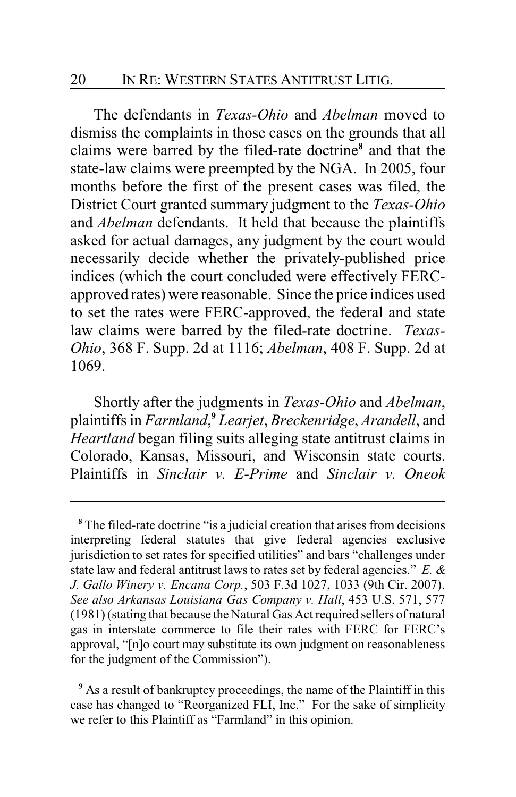The defendants in *Texas-Ohio* and *Abelman* moved to dismiss the complaints in those cases on the grounds that all claims were barred by the filed-rate doctrine **8** and that the state-law claims were preempted by the NGA. In 2005, four months before the first of the present cases was filed, the District Court granted summary judgment to the *Texas-Ohio* and *Abelman* defendants. It held that because the plaintiffs asked for actual damages, any judgment by the court would necessarily decide whether the privately-published price indices (which the court concluded were effectively FERCapproved rates) were reasonable. Since the price indices used to set the rates were FERC-approved, the federal and state law claims were barred by the filed-rate doctrine. *Texas-Ohio*, 368 F. Supp. 2d at 1116; *Abelman*, 408 F. Supp. 2d at 1069.

Shortly after the judgments in *Texas-Ohio* and *Abelman*, plaintiffs in *Farmland*, **<sup>9</sup>** *Learjet*, *Breckenridge*, *Arandell*, and *Heartland* began filing suits alleging state antitrust claims in Colorado, Kansas, Missouri, and Wisconsin state courts. Plaintiffs in *Sinclair v. E-Prime* and *Sinclair v. Oneok*

**<sup>9</sup>** As a result of bankruptcy proceedings, the name of the Plaintiff in this case has changed to "Reorganized FLI, Inc." For the sake of simplicity we refer to this Plaintiff as "Farmland" in this opinion.

**<sup>8</sup>** The filed-rate doctrine "is a judicial creation that arises from decisions interpreting federal statutes that give federal agencies exclusive jurisdiction to set rates for specified utilities" and bars "challenges under state law and federal antitrust laws to rates set by federal agencies." *E. & J. Gallo Winery v. Encana Corp.*, 503 F.3d 1027, 1033 (9th Cir. 2007). *See also Arkansas Louisiana Gas Company v. Hall*, 453 U.S. 571, 577 (1981) (stating that because the Natural Gas Act required sellers of natural gas in interstate commerce to file their rates with FERC for FERC's approval, "[n]o court may substitute its own judgment on reasonableness for the judgment of the Commission").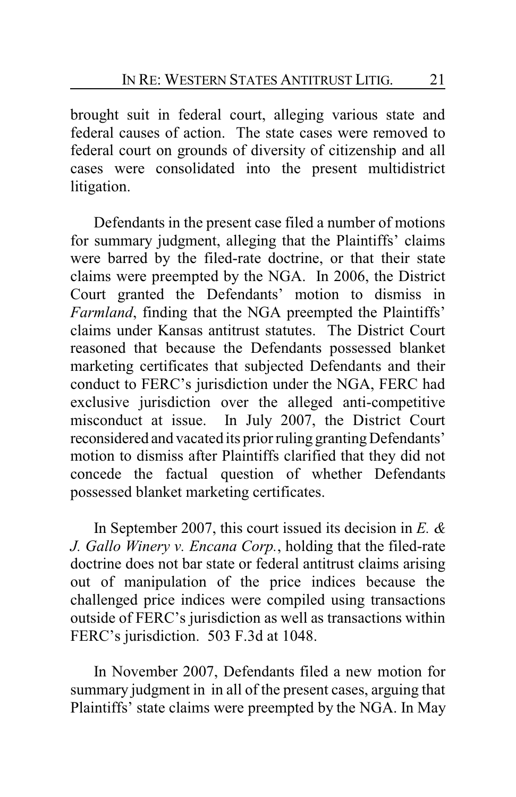brought suit in federal court, alleging various state and federal causes of action. The state cases were removed to federal court on grounds of diversity of citizenship and all cases were consolidated into the present multidistrict litigation.

Defendants in the present case filed a number of motions for summary judgment, alleging that the Plaintiffs' claims were barred by the filed-rate doctrine, or that their state claims were preempted by the NGA. In 2006, the District Court granted the Defendants' motion to dismiss in *Farmland*, finding that the NGA preempted the Plaintiffs' claims under Kansas antitrust statutes. The District Court reasoned that because the Defendants possessed blanket marketing certificates that subjected Defendants and their conduct to FERC's jurisdiction under the NGA, FERC had exclusive jurisdiction over the alleged anti-competitive misconduct at issue. In July 2007, the District Court reconsidered and vacated its prior ruling granting Defendants' motion to dismiss after Plaintiffs clarified that they did not concede the factual question of whether Defendants possessed blanket marketing certificates.

In September 2007, this court issued its decision in *E. & J. Gallo Winery v. Encana Corp.*, holding that the filed-rate doctrine does not bar state or federal antitrust claims arising out of manipulation of the price indices because the challenged price indices were compiled using transactions outside of FERC's jurisdiction as well as transactions within FERC's jurisdiction. 503 F.3d at 1048.

In November 2007, Defendants filed a new motion for summary judgment in in all of the present cases, arguing that Plaintiffs' state claims were preempted by the NGA. In May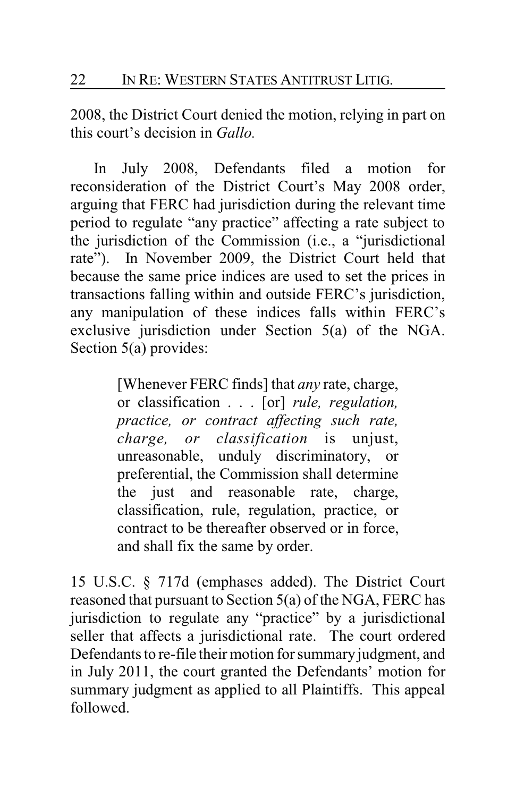2008, the District Court denied the motion, relying in part on this court's decision in *Gallo.*

In July 2008, Defendants filed a motion for reconsideration of the District Court's May 2008 order, arguing that FERC had jurisdiction during the relevant time period to regulate "any practice" affecting a rate subject to the jurisdiction of the Commission (i.e., a "jurisdictional rate"). In November 2009, the District Court held that because the same price indices are used to set the prices in transactions falling within and outside FERC's jurisdiction, any manipulation of these indices falls within FERC's exclusive jurisdiction under Section 5(a) of the NGA. Section 5(a) provides:

> [Whenever FERC finds] that *any* rate, charge, or classification . . . [or] *rule, regulation, practice, or contract affecting such rate, charge, or classification* is unjust, unreasonable, unduly discriminatory, or preferential, the Commission shall determine the just and reasonable rate, charge, classification, rule, regulation, practice, or contract to be thereafter observed or in force, and shall fix the same by order.

15 U.S.C. § 717d (emphases added). The District Court reasoned that pursuant to Section 5(a) of the NGA, FERC has jurisdiction to regulate any "practice" by a jurisdictional seller that affects a jurisdictional rate. The court ordered Defendants to re-file their motion for summary judgment, and in July 2011, the court granted the Defendants' motion for summary judgment as applied to all Plaintiffs. This appeal followed.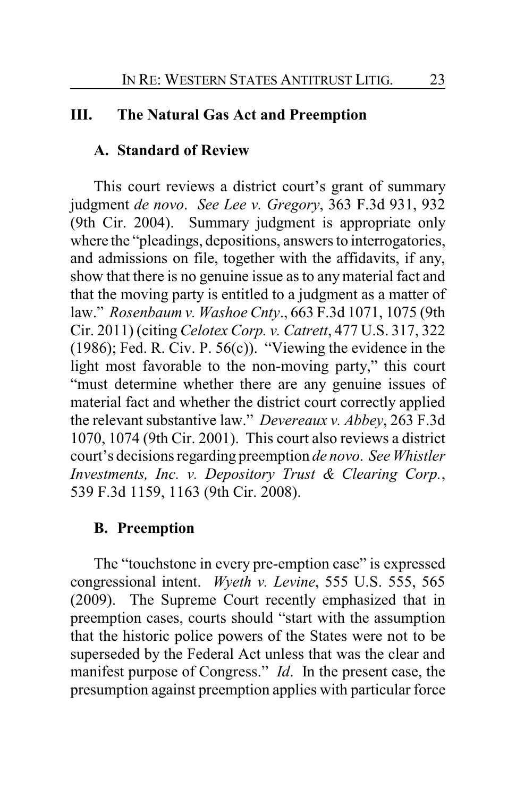#### **III. The Natural Gas Act and Preemption**

#### **A. Standard of Review**

This court reviews a district court's grant of summary judgment *de novo*. *See Lee v. Gregory*, 363 F.3d 931, 932 (9th Cir. 2004). Summary judgment is appropriate only where the "pleadings, depositions, answers to interrogatories, and admissions on file, together with the affidavits, if any, show that there is no genuine issue as to any material fact and that the moving party is entitled to a judgment as a matter of law." *Rosenbaum v. Washoe Cnty*., 663 F.3d 1071, 1075 (9th Cir. 2011) (citing *Celotex Corp. v. Catrett*, 477 U.S. 317, 322  $(1986)$ ; Fed. R. Civ. P. 56(c)). "Viewing the evidence in the light most favorable to the non-moving party," this court "must determine whether there are any genuine issues of material fact and whether the district court correctly applied the relevant substantive law." *Devereaux v. Abbey*, 263 F.3d 1070, 1074 (9th Cir. 2001). This court also reviews a district court's decisions regarding preemption *de novo*. *See Whistler Investments, Inc. v. Depository Trust & Clearing Corp.*, 539 F.3d 1159, 1163 (9th Cir. 2008).

#### **B. Preemption**

The "touchstone in every pre-emption case" is expressed congressional intent. *Wyeth v. Levine*, 555 U.S. 555, 565 (2009). The Supreme Court recently emphasized that in preemption cases, courts should "start with the assumption that the historic police powers of the States were not to be superseded by the Federal Act unless that was the clear and manifest purpose of Congress." *Id*. In the present case, the presumption against preemption applies with particular force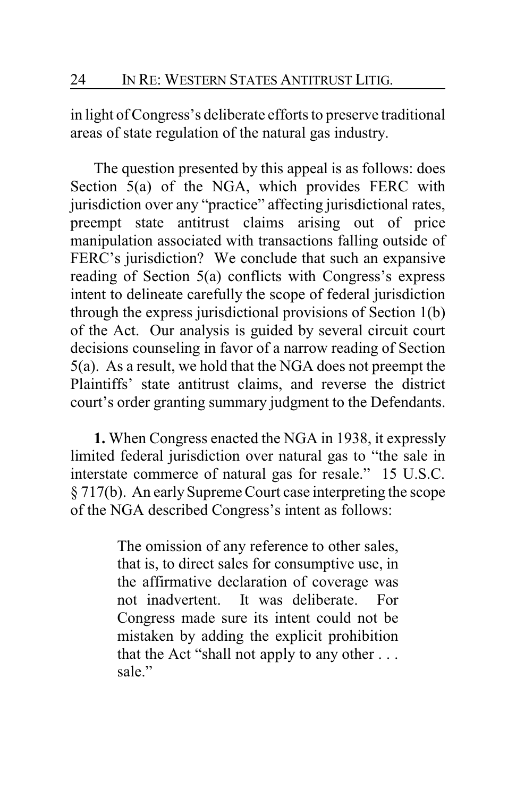in light of Congress's deliberate efforts to preserve traditional areas of state regulation of the natural gas industry.

The question presented by this appeal is as follows: does Section 5(a) of the NGA, which provides FERC with jurisdiction over any "practice" affecting jurisdictional rates, preempt state antitrust claims arising out of price manipulation associated with transactions falling outside of FERC's jurisdiction? We conclude that such an expansive reading of Section 5(a) conflicts with Congress's express intent to delineate carefully the scope of federal jurisdiction through the express jurisdictional provisions of Section 1(b) of the Act. Our analysis is guided by several circuit court decisions counseling in favor of a narrow reading of Section 5(a). As a result, we hold that the NGA does not preempt the Plaintiffs' state antitrust claims, and reverse the district court's order granting summary judgment to the Defendants.

**1.** When Congress enacted the NGA in 1938, it expressly limited federal jurisdiction over natural gas to "the sale in interstate commerce of natural gas for resale." 15 U.S.C. § 717(b). An earlySupreme Court case interpreting the scope of the NGA described Congress's intent as follows:

> The omission of any reference to other sales, that is, to direct sales for consumptive use, in the affirmative declaration of coverage was not inadvertent. It was deliberate. For Congress made sure its intent could not be mistaken by adding the explicit prohibition that the Act "shall not apply to any other . . . sale."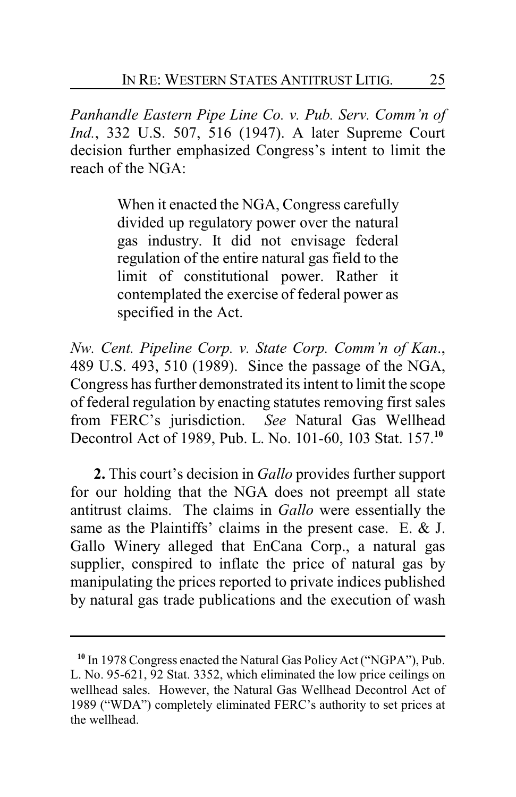*Panhandle Eastern Pipe Line Co. v. Pub. Serv. Comm'n of Ind.*, 332 U.S. 507, 516 (1947). A later Supreme Court decision further emphasized Congress's intent to limit the reach of the NGA:

> When it enacted the NGA, Congress carefully divided up regulatory power over the natural gas industry. It did not envisage federal regulation of the entire natural gas field to the limit of constitutional power. Rather it contemplated the exercise of federal power as specified in the Act.

*Nw. Cent. Pipeline Corp. v. State Corp. Comm'n of Kan*., 489 U.S. 493, 510 (1989). Since the passage of the NGA, Congress has further demonstrated its intent to limit the scope of federal regulation by enacting statutes removing first sales from FERC's jurisdiction. *See* Natural Gas Wellhead Decontrol Act of 1989, Pub. L. No. 101-60, 103 Stat. 157.**<sup>10</sup>**

**2.** This court's decision in *Gallo* provides further support for our holding that the NGA does not preempt all state antitrust claims. The claims in *Gallo* were essentially the same as the Plaintiffs' claims in the present case. E. & J. Gallo Winery alleged that EnCana Corp., a natural gas supplier, conspired to inflate the price of natural gas by manipulating the prices reported to private indices published by natural gas trade publications and the execution of wash

**<sup>10</sup>** In 1978 Congress enacted the Natural Gas Policy Act ("NGPA"), Pub. L. No. 95-621, 92 Stat. 3352, which eliminated the low price ceilings on wellhead sales. However, the Natural Gas Wellhead Decontrol Act of 1989 ("WDA") completely eliminated FERC's authority to set prices at the wellhead.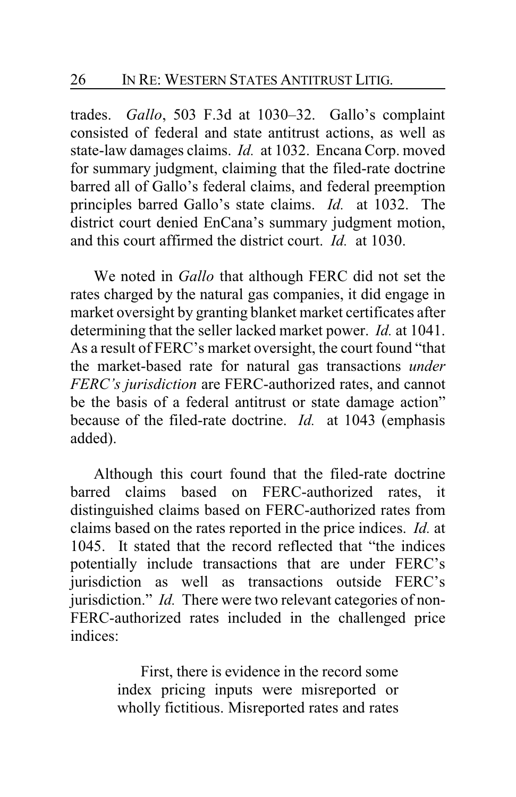trades. *Gallo*, 503 F.3d at 1030–32. Gallo's complaint consisted of federal and state antitrust actions, as well as state-law damages claims. *Id.* at 1032. Encana Corp. moved for summary judgment, claiming that the filed-rate doctrine barred all of Gallo's federal claims, and federal preemption principles barred Gallo's state claims. *Id.* at 1032. The district court denied EnCana's summary judgment motion, and this court affirmed the district court. *Id.* at 1030.

We noted in *Gallo* that although FERC did not set the rates charged by the natural gas companies, it did engage in market oversight by granting blanket market certificates after determining that the seller lacked market power. *Id.* at 1041. As a result of FERC's market oversight, the court found "that the market-based rate for natural gas transactions *under FERC's jurisdiction* are FERC-authorized rates, and cannot be the basis of a federal antitrust or state damage action" because of the filed-rate doctrine. *Id.* at 1043 (emphasis added).

Although this court found that the filed-rate doctrine<br>red claims based on FERC-authorized rates, it barred claims based on FERC-authorized rates, it distinguished claims based on FERC-authorized rates from claims based on the rates reported in the price indices. *Id.* at 1045. It stated that the record reflected that "the indices potentially include transactions that are under FERC's jurisdiction as well as transactions outside FERC's jurisdiction." *Id.* There were two relevant categories of non-FERC-authorized rates included in the challenged price indices:

> First, there is evidence in the record some index pricing inputs were misreported or wholly fictitious. Misreported rates and rates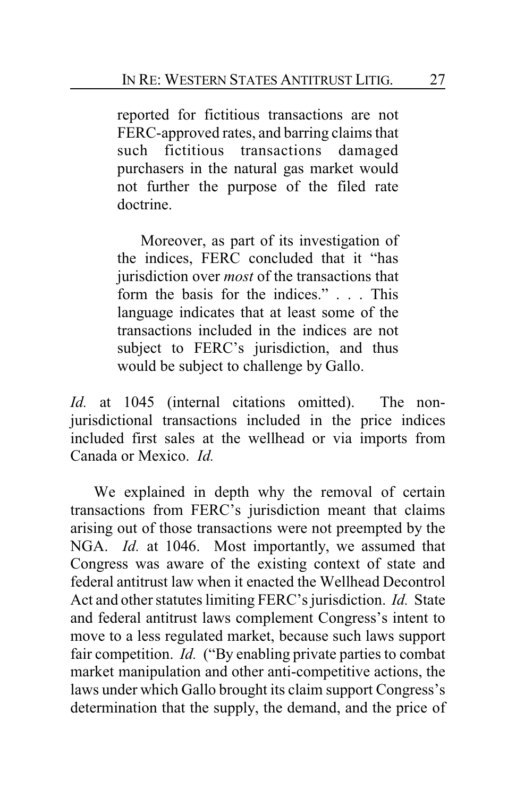reported for fictitious transactions are not FERC-approved rates, and barring claims that such fictitious transactions damaged purchasers in the natural gas market would not further the purpose of the filed rate doctrine.

Moreover, as part of its investigation of the indices, FERC concluded that it "has jurisdiction over *most* of the transactions that form the basis for the indices." . . . This language indicates that at least some of the transactions included in the indices are not subject to FERC's jurisdiction, and thus would be subject to challenge by Gallo.

*Id.* at 1045 (internal citations omitted). The nonjurisdictional transactions included in the price indices included first sales at the wellhead or via imports from Canada or Mexico. *Id.*

We explained in depth why the removal of certain transactions from FERC's jurisdiction meant that claims arising out of those transactions were not preempted by the NGA. *Id.* at 1046. Most importantly, we assumed that Congress was aware of the existing context of state and federal antitrust law when it enacted the Wellhead Decontrol Act and other statutes limiting FERC's jurisdiction. *Id.* State and federal antitrust laws complement Congress's intent to move to a less regulated market, because such laws support fair competition. *Id.* ("By enabling private parties to combat market manipulation and other anti-competitive actions, the laws under which Gallo brought its claim support Congress's determination that the supply, the demand, and the price of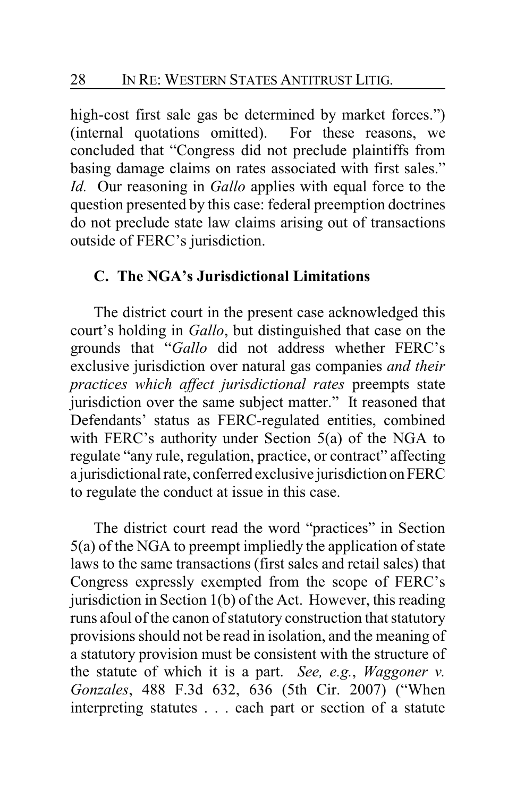high-cost first sale gas be determined by market forces.") (internal quotations omitted). For these reasons, we concluded that "Congress did not preclude plaintiffs from basing damage claims on rates associated with first sales." *Id.* Our reasoning in *Gallo* applies with equal force to the question presented by this case: federal preemption doctrines do not preclude state law claims arising out of transactions outside of FERC's jurisdiction.

### **C. The NGA's Jurisdictional Limitations**

The district court in the present case acknowledged this court's holding in *Gallo*, but distinguished that case on the grounds that "*Gallo* did not address whether FERC's exclusive jurisdiction over natural gas companies *and their practices which affect jurisdictional rates* preempts state jurisdiction over the same subject matter." It reasoned that Defendants' status as FERC-regulated entities, combined with FERC's authority under Section 5(a) of the NGA to regulate "any rule, regulation, practice, or contract" affecting a jurisdictional rate, conferred exclusive jurisdiction on FERC to regulate the conduct at issue in this case.

The district court read the word "practices" in Section 5(a) of the NGA to preempt impliedly the application of state laws to the same transactions (first sales and retail sales) that Congress expressly exempted from the scope of FERC's jurisdiction in Section 1(b) of the Act. However, this reading runs afoul of the canon of statutory construction that statutory provisions should not be read in isolation, and the meaning of a statutory provision must be consistent with the structure of the statute of which it is a part. *See, e.g.*, *Waggoner v. Gonzales*, 488 F.3d 632, 636 (5th Cir. 2007) ("When interpreting statutes . . . each part or section of a statute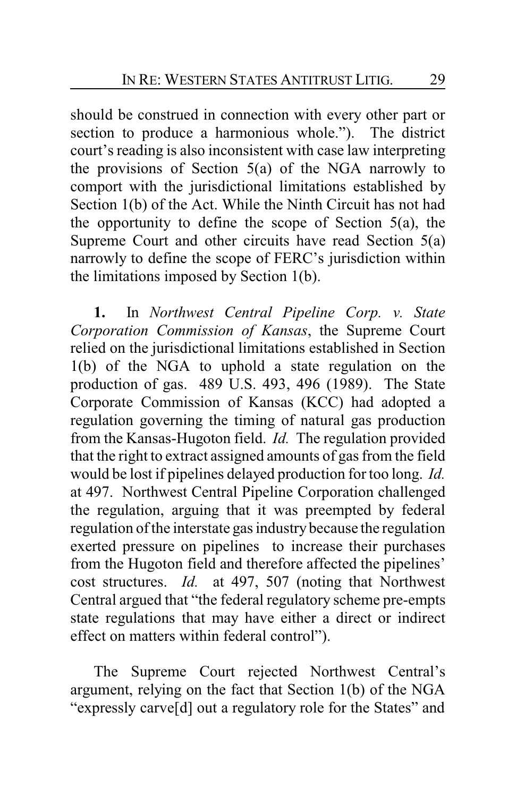should be construed in connection with every other part or section to produce a harmonious whole."). The district court's reading is also inconsistent with case law interpreting the provisions of Section 5(a) of the NGA narrowly to comport with the jurisdictional limitations established by Section 1(b) of the Act. While the Ninth Circuit has not had the opportunity to define the scope of Section 5(a), the Supreme Court and other circuits have read Section 5(a) narrowly to define the scope of FERC's jurisdiction within the limitations imposed by Section 1(b).

**1.** In *Northwest Central Pipeline Corp. v. State Corporation Commission of Kansas*, the Supreme Court relied on the jurisdictional limitations established in Section 1(b) of the NGA to uphold a state regulation on the production of gas. 489 U.S. 493, 496 (1989). The State Corporate Commission of Kansas (KCC) had adopted a regulation governing the timing of natural gas production from the Kansas-Hugoton field. *Id.* The regulation provided that the right to extract assigned amounts of gas from the field would be lost if pipelines delayed production for too long. *Id.* at 497. Northwest Central Pipeline Corporation challenged the regulation, arguing that it was preempted by federal regulation ofthe interstate gas industrybecause the regulation exerted pressure on pipelines to increase their purchases from the Hugoton field and therefore affected the pipelines' cost structures. *Id.* at 497, 507 (noting that Northwest Central argued that "the federal regulatory scheme pre-empts state regulations that may have either a direct or indirect effect on matters within federal control").

The Supreme Court rejected Northwest Central's argument, relying on the fact that Section 1(b) of the NGA "expressly carve[d] out a regulatory role for the States" and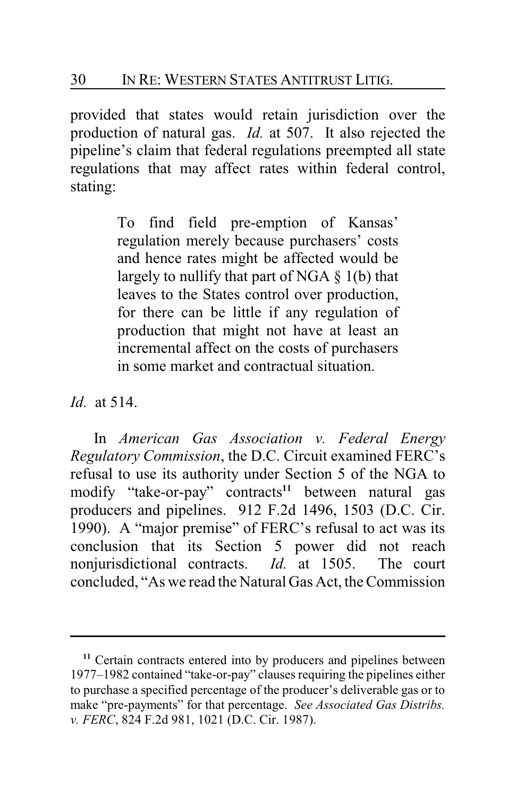provided that states would retain jurisdiction over the production of natural gas. *Id.* at 507. It also rejected the pipeline's claim that federal regulations preempted all state regulations that may affect rates within federal control, stating:

> To find field pre-emption of Kansas' regulation merely because purchasers' costs and hence rates might be affected would be largely to nullify that part of NGA  $\S$  1(b) that leaves to the States control over production, for there can be little if any regulation of production that might not have at least an incremental affect on the costs of purchasers in some market and contractual situation.

*Id.* at 514.

In *American Gas Association v. Federal Energy Regulatory Commission*, the D.C. Circuit examined FERC's refusal to use its authority under Section 5 of the NGA to modify "take-or-pay" contracts**<sup>11</sup>** between natural gas producers and pipelines. 912 F.2d 1496, 1503 (D.C. Cir. 1990). A "major premise" of FERC's refusal to act was its conclusion that its Section 5 power did not reach nonjurisdictional contracts. *Id.* at 1505. The court concluded, "As we read the Natural Gas Act, the Commission

**<sup>11</sup>** Certain contracts entered into by producers and pipelines between 1977–1982 contained "take-or-pay" clauses requiring the pipelines either to purchase a specified percentage of the producer's deliverable gas or to make "pre-payments" for that percentage. *See Associated Gas Distribs. v. FERC*, 824 F.2d 981, 1021 (D.C. Cir. 1987).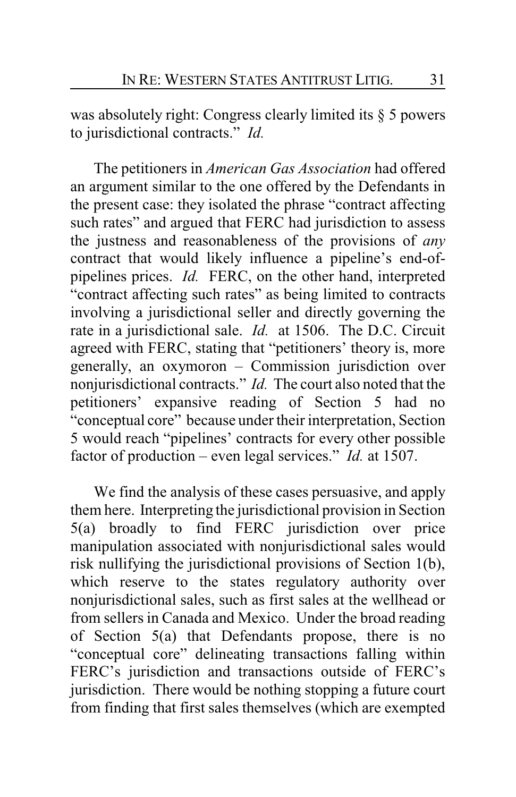was absolutely right: Congress clearly limited its § 5 powers to jurisdictional contracts." *Id.*

The petitioners in *American Gas Association* had offered an argument similar to the one offered by the Defendants in the present case: they isolated the phrase "contract affecting such rates" and argued that FERC had jurisdiction to assess the justness and reasonableness of the provisions of *any* contract that would likely influence a pipeline's end-ofpipelines prices. *Id.* FERC, on the other hand, interpreted "contract affecting such rates" as being limited to contracts involving a jurisdictional seller and directly governing the rate in a jurisdictional sale. *Id.* at 1506. The D.C. Circuit agreed with FERC, stating that "petitioners' theory is, more generally, an oxymoron – Commission jurisdiction over nonjurisdictional contracts." *Id.* The court also noted that the petitioners' expansive reading of Section 5 had no "conceptual core" because under their interpretation, Section 5 would reach "pipelines' contracts for every other possible factor of production – even legal services." *Id.* at 1507.

We find the analysis of these cases persuasive, and apply them here. Interpreting the jurisdictional provision in Section 5(a) broadly to find FERC jurisdiction over price manipulation associated with nonjurisdictional sales would risk nullifying the jurisdictional provisions of Section 1(b), which reserve to the states regulatory authority over nonjurisdictional sales, such as first sales at the wellhead or from sellers in Canada and Mexico. Under the broad reading of Section 5(a) that Defendants propose, there is no "conceptual core" delineating transactions falling within FERC's jurisdiction and transactions outside of FERC's jurisdiction. There would be nothing stopping a future court from finding that first sales themselves (which are exempted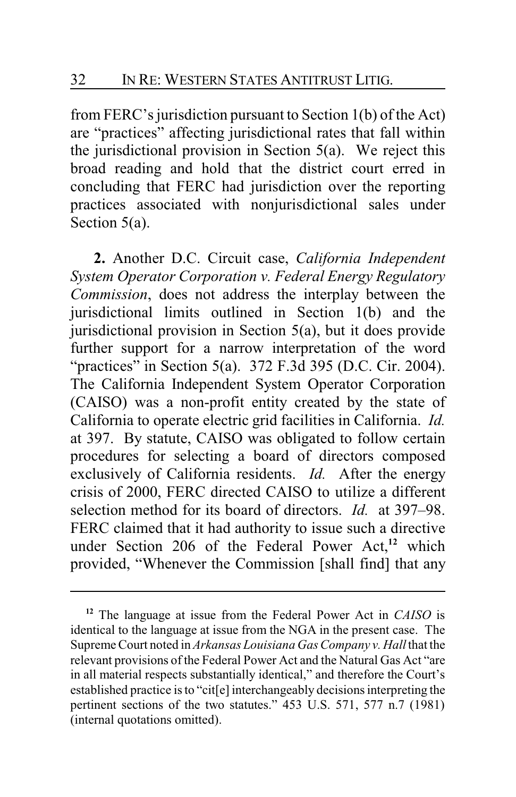from FERC's jurisdiction pursuant to Section 1(b) of the Act) are "practices" affecting jurisdictional rates that fall within the jurisdictional provision in Section 5(a). We reject this broad reading and hold that the district court erred in concluding that FERC had jurisdiction over the reporting practices associated with nonjurisdictional sales under Section 5(a).

**2.** Another D.C. Circuit case, *California Independent System Operator Corporation v. Federal Energy Regulatory Commission*, does not address the interplay between the jurisdictional limits outlined in Section 1(b) and the jurisdictional provision in Section 5(a), but it does provide further support for a narrow interpretation of the word "practices" in Section 5(a). 372 F.3d 395 (D.C. Cir. 2004). The California Independent System Operator Corporation (CAISO) was a non-profit entity created by the state of California to operate electric grid facilities in California. *Id.* at 397. By statute, CAISO was obligated to follow certain procedures for selecting a board of directors composed exclusively of California residents. *Id.* After the energy crisis of 2000, FERC directed CAISO to utilize a different selection method for its board of directors. *Id.* at 397–98. FERC claimed that it had authority to issue such a directive under Section 206 of the Federal Power Act,**<sup>12</sup>** which provided, "Whenever the Commission [shall find] that any

**<sup>12</sup>** The language at issue from the Federal Power Act in *CAISO* is identical to the language at issue from the NGA in the present case. The Supreme Court noted in*Arkansas Louisiana Gas Company v. Hall* that the relevant provisions of the Federal Power Act and the Natural Gas Act "are in all material respects substantially identical," and therefore the Court's established practice is to "cit[e] interchangeably decisions interpreting the pertinent sections of the two statutes." 453 U.S. 571, 577 n.7 (1981) (internal quotations omitted).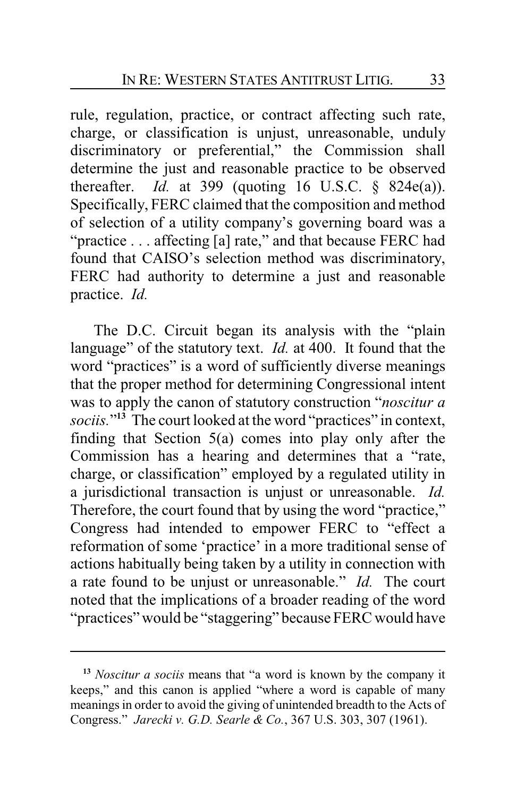rule, regulation, practice, or contract affecting such rate, charge, or classification is unjust, unreasonable, unduly discriminatory or preferential," the Commission shall determine the just and reasonable practice to be observed thereafter. *Id.* at 399 (quoting 16 U.S.C. § 824e(a)). Specifically, FERC claimed that the composition and method of selection of a utility company's governing board was a "practice . . . affecting [a] rate," and that because FERC had found that CAISO's selection method was discriminatory, FERC had authority to determine a just and reasonable practice. *Id.*

The D.C. Circuit began its analysis with the "plain language" of the statutory text. *Id.* at 400. It found that the word "practices" is a word of sufficiently diverse meanings that the proper method for determining Congressional intent was to apply the canon of statutory construction "*noscitur a sociis.*" **<sup>13</sup>** The court looked at the word "practices" in context, finding that Section 5(a) comes into play only after the Commission has a hearing and determines that a "rate, charge, or classification" employed by a regulated utility in a jurisdictional transaction is unjust or unreasonable. *Id.*  Therefore, the court found that by using the word "practice," Congress had intended to empower FERC to "effect a reformation of some 'practice' in a more traditional sense of actions habitually being taken by a utility in connection with a rate found to be unjust or unreasonable." *Id.* The court noted that the implications of a broader reading of the word "practices" would be "staggering" because FERC would have

**<sup>13</sup>** *Noscitur a sociis* means that "a word is known by the company it keeps," and this canon is applied "where a word is capable of many meanings in order to avoid the giving of unintended breadth to the Acts of Congress." *Jarecki v. G.D. Searle & Co.*, 367 U.S. 303, 307 (1961).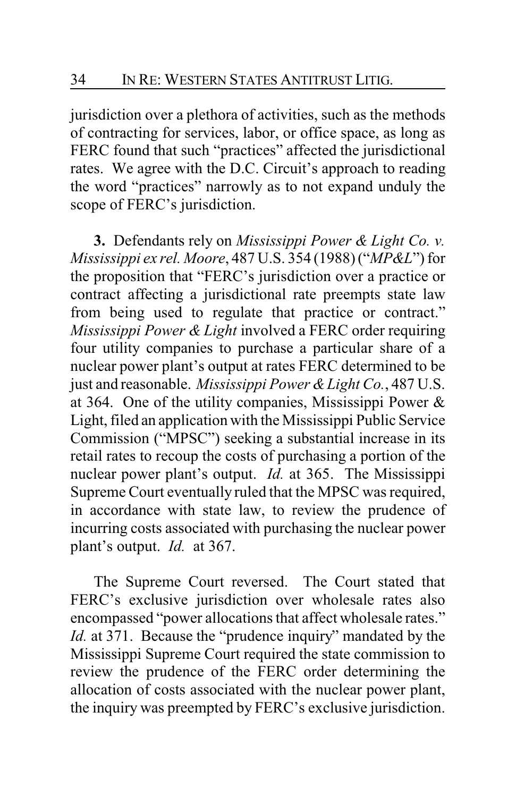jurisdiction over a plethora of activities, such as the methods of contracting for services, labor, or office space, as long as FERC found that such "practices" affected the jurisdictional rates. We agree with the D.C. Circuit's approach to reading the word "practices" narrowly as to not expand unduly the scope of FERC's jurisdiction.

**3.** Defendants rely on *Mississippi Power & Light Co. v. Mississippi ex rel. Moore*, 487 U.S. 354 (1988) ("*MP&L*") for the proposition that "FERC's jurisdiction over a practice or contract affecting a jurisdictional rate preempts state law from being used to regulate that practice or contract." *Mississippi Power & Light* involved a FERC order requiring four utility companies to purchase a particular share of a nuclear power plant's output at rates FERC determined to be just and reasonable. *Mississippi Power &Light Co.*, 487 U.S. at 364. One of the utility companies, Mississippi Power & Light, filed an application with the Mississippi Public Service Commission ("MPSC") seeking a substantial increase in its retail rates to recoup the costs of purchasing a portion of the nuclear power plant's output. *Id.* at 365. The Mississippi Supreme Court eventually ruled that the MPSC was required, in accordance with state law, to review the prudence of incurring costs associated with purchasing the nuclear power plant's output. *Id.* at 367.

The Supreme Court reversed. The Court stated that FERC's exclusive jurisdiction over wholesale rates also encompassed "power allocations that affect wholesale rates." *Id.* at 371. Because the "prudence inquiry" mandated by the Mississippi Supreme Court required the state commission to review the prudence of the FERC order determining the allocation of costs associated with the nuclear power plant, the inquiry was preempted by FERC's exclusive jurisdiction.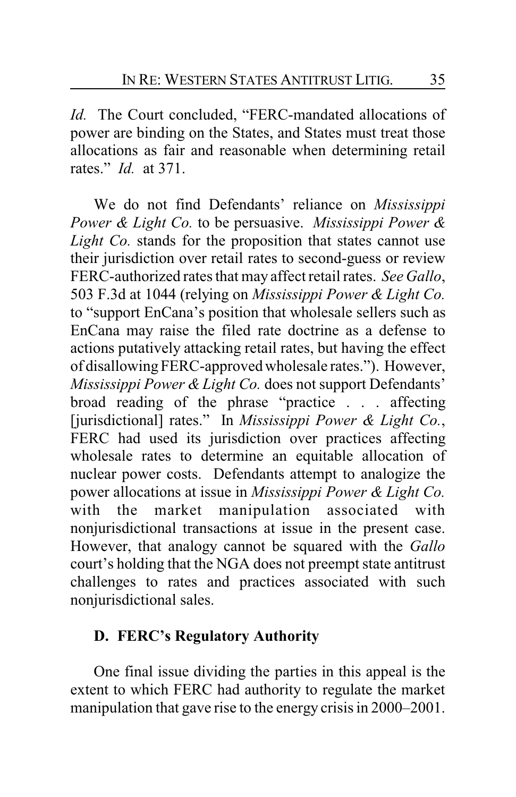*Id.* The Court concluded, "FERC-mandated allocations of power are binding on the States, and States must treat those allocations as fair and reasonable when determining retail rates." *Id.* at 371.

We do not find Defendants' reliance on *Mississippi Power & Light Co.* to be persuasive. *Mississippi Power & Light Co.* stands for the proposition that states cannot use their jurisdiction over retail rates to second-guess or review FERC-authorized rates that may affect retail rates. *See Gallo*, 503 F.3d at 1044 (relying on *Mississippi Power & Light Co.* to "support EnCana's position that wholesale sellers such as EnCana may raise the filed rate doctrine as a defense to actions putatively attacking retail rates, but having the effect of disallowingFERC-approved wholesale rates."). However, *Mississippi Power & Light Co.* does not support Defendants' broad reading of the phrase "practice . . . affecting [jurisdictional] rates." In *Mississippi Power & Light Co.*, FERC had used its jurisdiction over practices affecting wholesale rates to determine an equitable allocation of nuclear power costs. Defendants attempt to analogize the power allocations at issue in *Mississippi Power & Light Co.* with the market manipulation associated with nonjurisdictional transactions at issue in the present case. However, that analogy cannot be squared with the *Gallo* court's holding that the NGA does not preempt state antitrust challenges to rates and practices associated with such nonjurisdictional sales.

## **D. FERC's Regulatory Authority**

One final issue dividing the parties in this appeal is the extent to which FERC had authority to regulate the market manipulation that gave rise to the energy crisis in 2000–2001.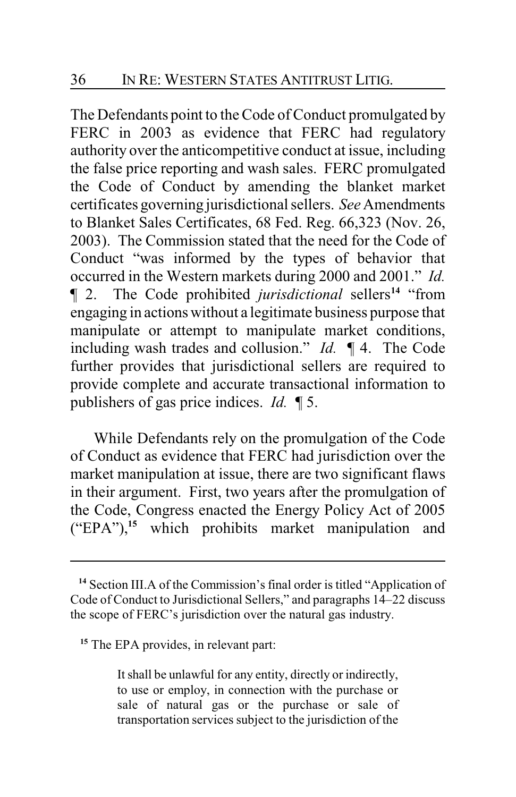The Defendants point to the Code of Conduct promulgated by FERC in 2003 as evidence that FERC had regulatory authority over the anticompetitive conduct at issue, including the false price reporting and wash sales. FERC promulgated the Code of Conduct by amending the blanket market certificates governing jurisdictional sellers. *See* Amendments to Blanket Sales Certificates, 68 Fed. Reg. 66,323 (Nov. 26, 2003). The Commission stated that the need for the Code of Conduct "was informed by the types of behavior that occurred in the Western markets during 2000 and 2001." *Id.* ¶ 2. The Code prohibited *jurisdictional* sellers **14** "from engaging in actions without a legitimate business purpose that manipulate or attempt to manipulate market conditions, including wash trades and collusion." *Id.* ¶ 4. The Code further provides that jurisdictional sellers are required to provide complete and accurate transactional information to publishers of gas price indices. *Id.* ¶ 5.

While Defendants rely on the promulgation of the Code of Conduct as evidence that FERC had jurisdiction over the market manipulation at issue, there are two significant flaws in their argument. First, two years after the promulgation of the Code, Congress enacted the Energy Policy Act of 2005 ("EPA"),**<sup>15</sup>** which prohibits market manipulation and

**<sup>15</sup>** The EPA provides, in relevant part:

It shall be unlawful for any entity, directly or indirectly, to use or employ, in connection with the purchase or sale of natural gas or the purchase or sale of transportation services subject to the jurisdiction of the

**<sup>14</sup>** Section III.A of the Commission's final order is titled "Application of Code of Conduct to Jurisdictional Sellers," and paragraphs 14–22 discuss the scope of FERC's jurisdiction over the natural gas industry.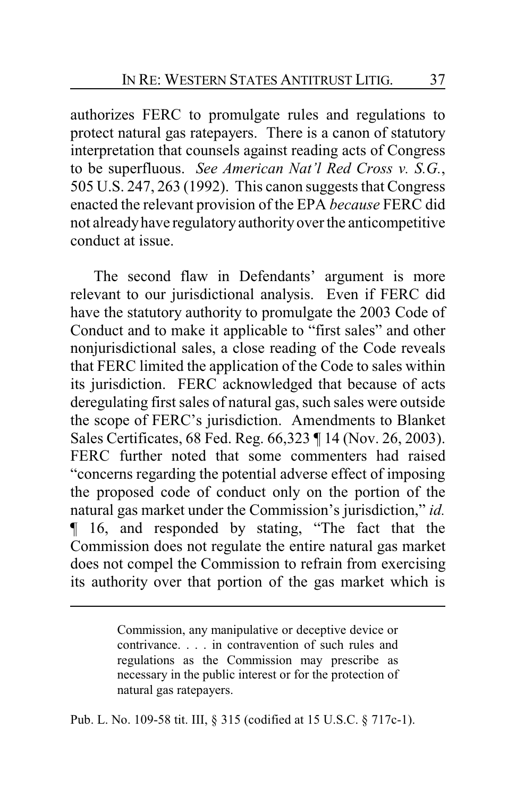authorizes FERC to promulgate rules and regulations to protect natural gas ratepayers. There is a canon of statutory interpretation that counsels against reading acts of Congress to be superfluous. *See American Nat'l Red Cross v. S.G.*, 505 U.S. 247, 263 (1992). This canon suggests that Congress enacted the relevant provision of the EPA *because* FERC did not alreadyhave regulatoryauthorityover the anticompetitive conduct at issue.

The second flaw in Defendants' argument is more relevant to our jurisdictional analysis. Even if FERC did have the statutory authority to promulgate the 2003 Code of Conduct and to make it applicable to "first sales" and other nonjurisdictional sales, a close reading of the Code reveals that FERC limited the application of the Code to sales within its jurisdiction. FERC acknowledged that because of acts deregulating first sales of natural gas, such sales were outside the scope of FERC's jurisdiction. Amendments to Blanket Sales Certificates, 68 Fed. Reg. 66,323 ¶ 14 (Nov. 26, 2003). FERC further noted that some commenters had raised "concerns regarding the potential adverse effect of imposing the proposed code of conduct only on the portion of the natural gas market under the Commission's jurisdiction," *id.*  ¶ 16, and responded by stating, "The fact that the Commission does not regulate the entire natural gas market does not compel the Commission to refrain from exercising its authority over that portion of the gas market which is

> Commission, any manipulative or deceptive device or contrivance. . . . in contravention of such rules and regulations as the Commission may prescribe as necessary in the public interest or for the protection of natural gas ratepayers.

Pub. L. No. 109-58 tit. III, § 315 (codified at 15 U.S.C. § 717c-1).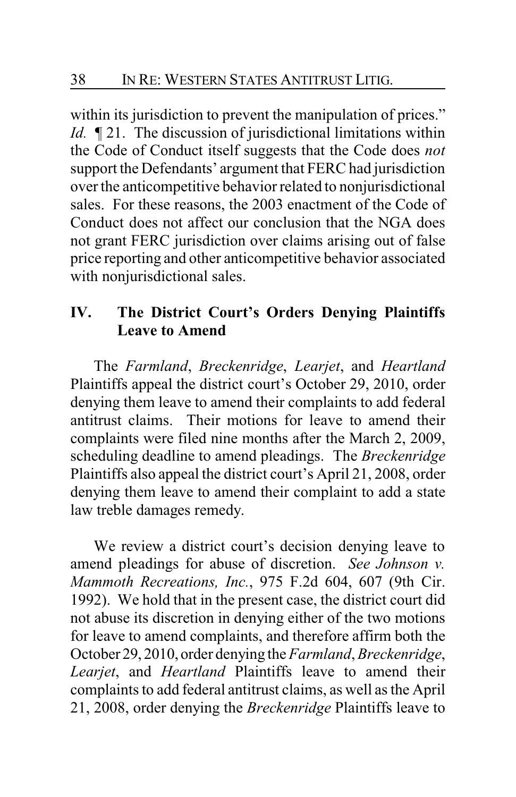within its jurisdiction to prevent the manipulation of prices." *Id.*  $\llbracket 21$ . The discussion of jurisdictional limitations within the Code of Conduct itself suggests that the Code does *not* support the Defendants' argument that FERC had jurisdiction over the anticompetitive behavior related to nonjurisdictional sales. For these reasons, the 2003 enactment of the Code of Conduct does not affect our conclusion that the NGA does not grant FERC jurisdiction over claims arising out of false price reporting and other anticompetitive behavior associated with nonjurisdictional sales.

# **IV. The District Court's Orders Denying Plaintiffs Leave to Amend**

The *Farmland*, *Breckenridge*, *Learjet*, and *Heartland* Plaintiffs appeal the district court's October 29, 2010, order denying them leave to amend their complaints to add federal antitrust claims. Their motions for leave to amend their complaints were filed nine months after the March 2, 2009, scheduling deadline to amend pleadings. The *Breckenridge* Plaintiffs also appeal the district court's April 21, 2008, order denying them leave to amend their complaint to add a state law treble damages remedy.

We review a district court's decision denying leave to amend pleadings for abuse of discretion. *See Johnson v. Mammoth Recreations, Inc.*, 975 F.2d 604, 607 (9th Cir. 1992). We hold that in the present case, the district court did not abuse its discretion in denying either of the two motions for leave to amend complaints, and therefore affirm both the October 29, 2010, order denying the *Farmland*, *Breckenridge*, *Learjet*, and *Heartland* Plaintiffs leave to amend their complaints to add federal antitrust claims, as well as the April 21, 2008, order denying the *Breckenridge* Plaintiffs leave to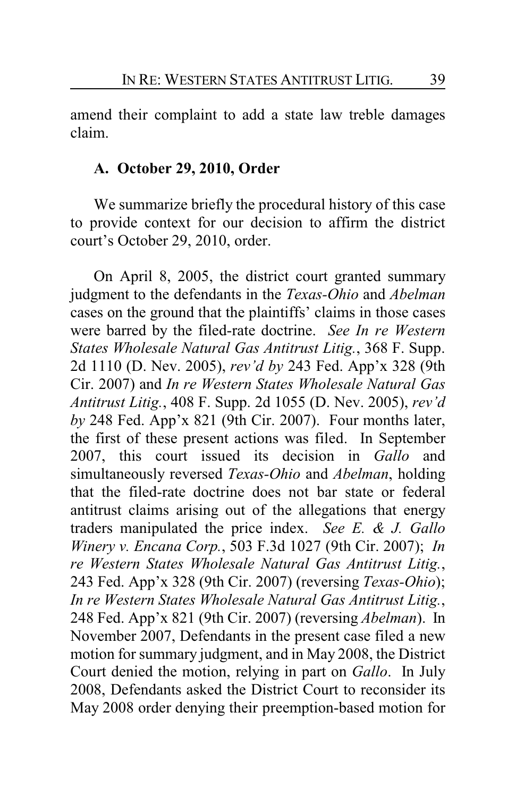amend their complaint to add a state law treble damages claim.

### **A. October 29, 2010, Order**

We summarize briefly the procedural history of this case to provide context for our decision to affirm the district court's October 29, 2010, order.

On April 8, 2005, the district court granted summary judgment to the defendants in the *Texas-Ohio* and *Abelman* cases on the ground that the plaintiffs' claims in those cases were barred by the filed-rate doctrine. *See In re Western States Wholesale Natural Gas Antitrust Litig.*, 368 F. Supp. 2d 1110 (D. Nev. 2005), *rev'd by* 243 Fed. App'x 328 (9th Cir. 2007) and *In re Western States Wholesale Natural Gas Antitrust Litig.*, 408 F. Supp. 2d 1055 (D. Nev. 2005), *rev'd by* 248 Fed. App'x 821 (9th Cir. 2007). Four months later, the first of these present actions was filed. In September 2007, this court issued its decision in *Gallo* and simultaneously reversed *Texas-Ohio* and *Abelman*, holding that the filed-rate doctrine does not bar state or federal antitrust claims arising out of the allegations that energy traders manipulated the price index. *See E. & J. Gallo Winery v. Encana Corp.*, 503 F.3d 1027 (9th Cir. 2007); *In re Western States Wholesale Natural Gas Antitrust Litig.*, 243 Fed. App'x 328 (9th Cir. 2007) (reversing *Texas-Ohio*); *In re Western States Wholesale Natural Gas Antitrust Litig.*, 248 Fed. App'x 821 (9th Cir. 2007) (reversing *Abelman*). In November 2007, Defendants in the present case filed a new motion for summary judgment, and in May 2008, the District Court denied the motion, relying in part on *Gallo*. In July 2008, Defendants asked the District Court to reconsider its May 2008 order denying their preemption-based motion for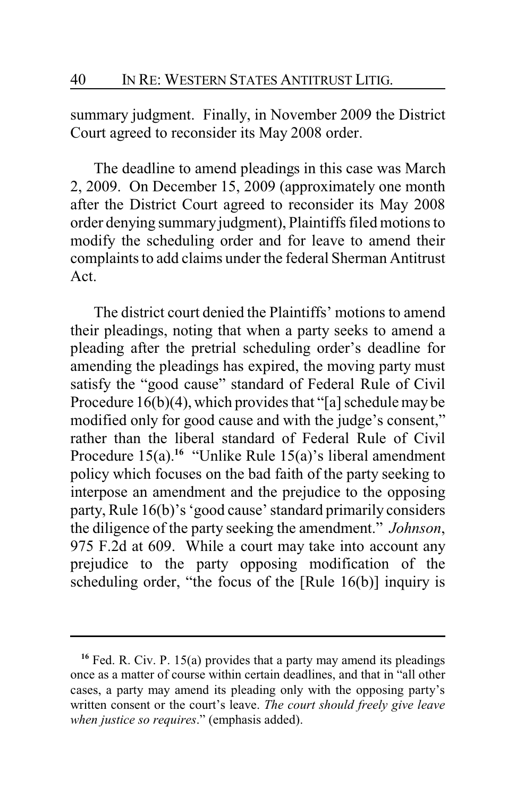summary judgment. Finally, in November 2009 the District Court agreed to reconsider its May 2008 order.

The deadline to amend pleadings in this case was March 2, 2009. On December 15, 2009 (approximately one month after the District Court agreed to reconsider its May 2008 order denying summary judgment), Plaintiffs filed motions to modify the scheduling order and for leave to amend their complaints to add claims under the federal Sherman Antitrust Act.

The district court denied the Plaintiffs' motions to amend their pleadings, noting that when a party seeks to amend a pleading after the pretrial scheduling order's deadline for amending the pleadings has expired, the moving party must satisfy the "good cause" standard of Federal Rule of Civil Procedure  $16(b)(4)$ , which provides that "[a] schedule may be modified only for good cause and with the judge's consent," rather than the liberal standard of Federal Rule of Civil Procedure 15(a).<sup>16</sup> "Unlike Rule 15(a)'s liberal amendment policy which focuses on the bad faith of the party seeking to interpose an amendment and the prejudice to the opposing party, Rule 16(b)'s 'good cause' standard primarily considers the diligence of the party seeking the amendment." *Johnson*, 975 F.2d at 609. While a court may take into account any prejudice to the party opposing modification of the scheduling order, "the focus of the [Rule 16(b)] inquiry is

<sup>&</sup>lt;sup>16</sup> Fed. R. Civ. P. 15(a) provides that a party may amend its pleadings once as a matter of course within certain deadlines, and that in "all other cases, a party may amend its pleading only with the opposing party's written consent or the court's leave. *The court should freely give leave when justice so requires*." (emphasis added).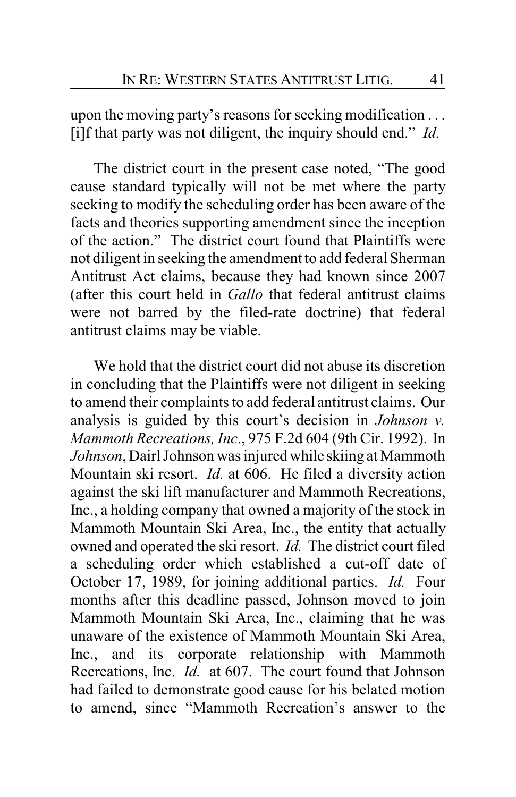upon the moving party's reasons for seeking modification . . . [i]f that party was not diligent, the inquiry should end." *Id.*

The district court in the present case noted, "The good cause standard typically will not be met where the party seeking to modify the scheduling order has been aware of the facts and theories supporting amendment since the inception of the action." The district court found that Plaintiffs were not diligent in seeking the amendment to add federal Sherman Antitrust Act claims, because they had known since 2007 (after this court held in *Gallo* that federal antitrust claims were not barred by the filed-rate doctrine) that federal antitrust claims may be viable.

We hold that the district court did not abuse its discretion in concluding that the Plaintiffs were not diligent in seeking to amend their complaints to add federal antitrust claims. Our analysis is guided by this court's decision in *Johnson v. Mammoth Recreations, Inc*., 975 F.2d 604 (9th Cir. 1992). In *Johnson*, Dairl Johnson was injured while skiing at Mammoth Mountain ski resort. *Id.* at 606. He filed a diversity action against the ski lift manufacturer and Mammoth Recreations, Inc., a holding company that owned a majority of the stock in Mammoth Mountain Ski Area, Inc., the entity that actually owned and operated the ski resort. *Id.* The district court filed a scheduling order which established a cut-off date of October 17, 1989, for joining additional parties. *Id.* Four months after this deadline passed, Johnson moved to join Mammoth Mountain Ski Area, Inc., claiming that he was unaware of the existence of Mammoth Mountain Ski Area, Inc., and its corporate relationship with Mammoth Recreations, Inc. *Id.* at 607. The court found that Johnson had failed to demonstrate good cause for his belated motion to amend, since "Mammoth Recreation's answer to the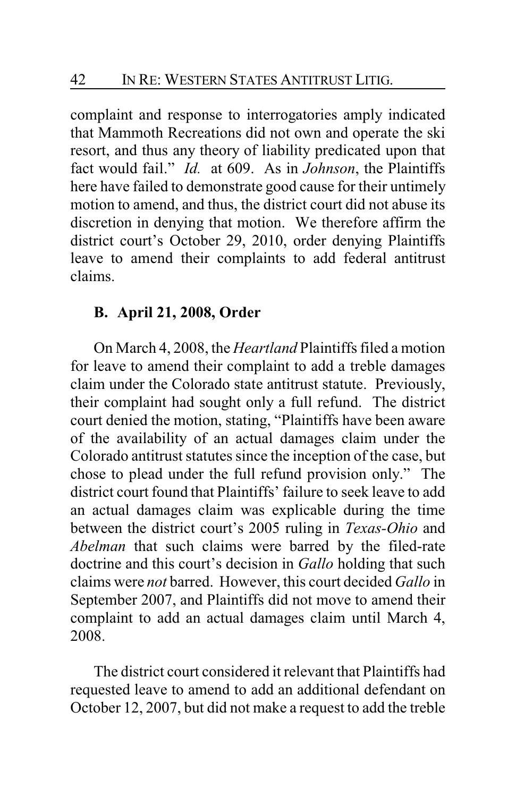complaint and response to interrogatories amply indicated that Mammoth Recreations did not own and operate the ski resort, and thus any theory of liability predicated upon that fact would fail." *Id.* at 609. As in *Johnson*, the Plaintiffs here have failed to demonstrate good cause for their untimely motion to amend, and thus, the district court did not abuse its discretion in denying that motion. We therefore affirm the district court's October 29, 2010, order denying Plaintiffs leave to amend their complaints to add federal antitrust claims.

#### **B. April 21, 2008, Order**

On March 4, 2008, the *Heartland* Plaintiffs filed a motion for leave to amend their complaint to add a treble damages claim under the Colorado state antitrust statute. Previously, their complaint had sought only a full refund. The district court denied the motion, stating, "Plaintiffs have been aware of the availability of an actual damages claim under the Colorado antitrust statutes since the inception of the case, but chose to plead under the full refund provision only." The district court found that Plaintiffs' failure to seek leave to add an actual damages claim was explicable during the time between the district court's 2005 ruling in *Texas-Ohio* and *Abelman* that such claims were barred by the filed-rate doctrine and this court's decision in *Gallo* holding that such claims were *not* barred. However, this court decided *Gallo* in September 2007, and Plaintiffs did not move to amend their complaint to add an actual damages claim until March 4, 2008.

The district court considered it relevant that Plaintiffs had requested leave to amend to add an additional defendant on October 12, 2007, but did not make a request to add the treble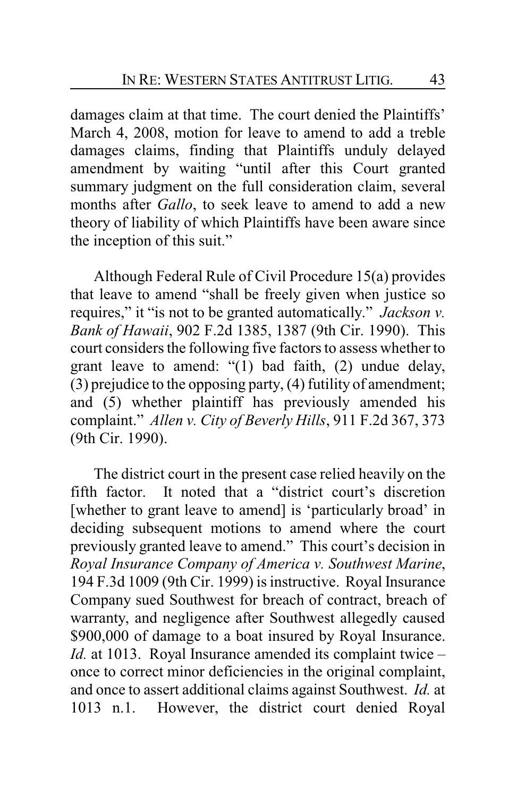damages claim at that time. The court denied the Plaintiffs' March 4, 2008, motion for leave to amend to add a treble damages claims, finding that Plaintiffs unduly delayed amendment by waiting "until after this Court granted summary judgment on the full consideration claim, several months after *Gallo*, to seek leave to amend to add a new theory of liability of which Plaintiffs have been aware since the inception of this suit."

Although Federal Rule of Civil Procedure 15(a) provides that leave to amend "shall be freely given when justice so requires," it "is not to be granted automatically." *Jackson v. Bank of Hawaii*, 902 F.2d 1385, 1387 (9th Cir. 1990). This court considers the following five factors to assess whether to grant leave to amend: "(1) bad faith, (2) undue delay, (3) prejudice to the opposing party, (4) futility of amendment; and (5) whether plaintiff has previously amended his complaint." *Allen v. City of Beverly Hills*, 911 F.2d 367, 373 (9th Cir. 1990).

The district court in the present case relied heavily on the fifth factor. It noted that a "district court's discretion [whether to grant leave to amend] is 'particularly broad' in deciding subsequent motions to amend where the court previously granted leave to amend." This court's decision in *Royal Insurance Company of America v. Southwest Marine*, 194 F.3d 1009 (9th Cir. 1999) is instructive. Royal Insurance Company sued Southwest for breach of contract, breach of warranty, and negligence after Southwest allegedly caused \$900,000 of damage to a boat insured by Royal Insurance. *Id.* at 1013. Royal Insurance amended its complaint twice – once to correct minor deficiencies in the original complaint, and once to assert additional claims against Southwest. *Id.* at 1013 n.1. However, the district court denied Royal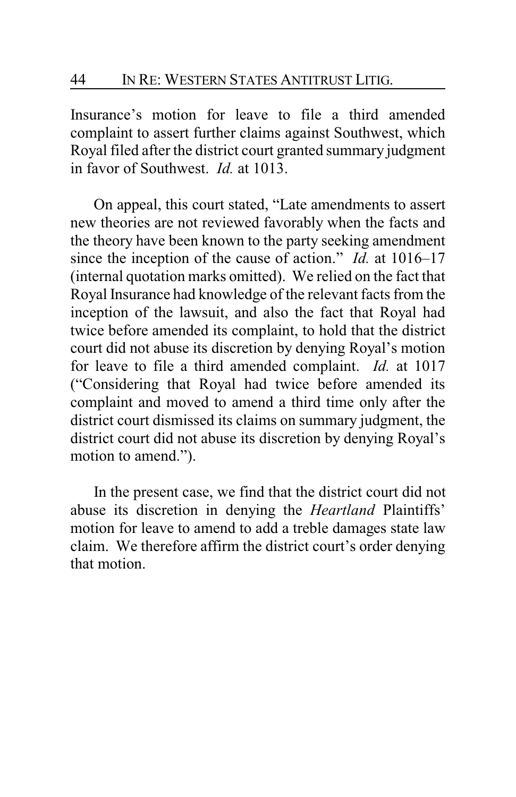Insurance's motion for leave to file a third amended complaint to assert further claims against Southwest, which Royal filed after the district court granted summary judgment in favor of Southwest. *Id.* at 1013.

On appeal, this court stated, "Late amendments to assert new theories are not reviewed favorably when the facts and the theory have been known to the party seeking amendment since the inception of the cause of action." *Id.* at 1016–17 (internal quotation marks omitted). We relied on the fact that Royal Insurance had knowledge of the relevant facts from the inception of the lawsuit, and also the fact that Royal had twice before amended its complaint, to hold that the district court did not abuse its discretion by denying Royal's motion for leave to file a third amended complaint. *Id.* at 1017 ("Considering that Royal had twice before amended its complaint and moved to amend a third time only after the district court dismissed its claims on summary judgment, the district court did not abuse its discretion by denying Royal's motion to amend.").

In the present case, we find that the district court did not abuse its discretion in denying the *Heartland* Plaintiffs' motion for leave to amend to add a treble damages state law claim. We therefore affirm the district court's order denying that motion.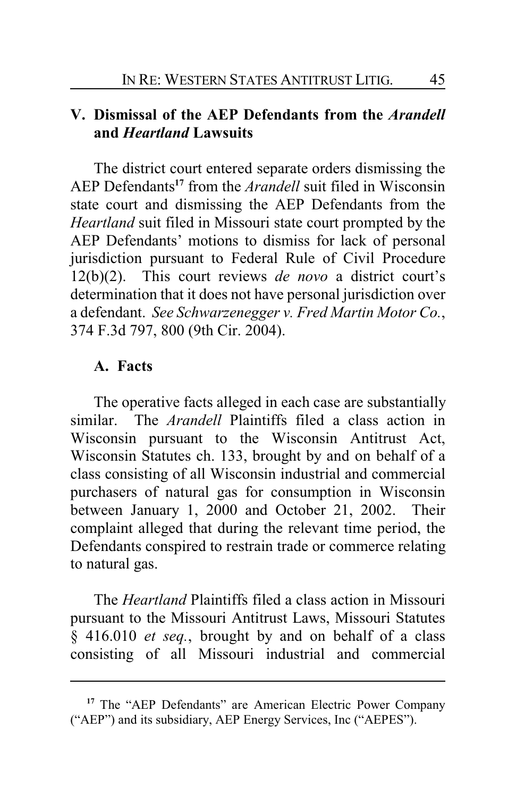# **V. Dismissal of the AEP Defendants from the** *Arandell* **and** *Heartland* **Lawsuits**

The district court entered separate orders dismissing the AEP Defendants**<sup>17</sup>** from the *Arandell* suit filed in Wisconsin state court and dismissing the AEP Defendants from the *Heartland* suit filed in Missouri state court prompted by the AEP Defendants' motions to dismiss for lack of personal jurisdiction pursuant to Federal Rule of Civil Procedure 12(b)(2). This court reviews *de novo* a district court's determination that it does not have personal jurisdiction over a defendant. *See Schwarzenegger v. Fred Martin Motor Co.*, 374 F.3d 797, 800 (9th Cir. 2004).

### **A. Facts**

The operative facts alleged in each case are substantially similar. The *Arandell* Plaintiffs filed a class action in Wisconsin pursuant to the Wisconsin Antitrust Act, Wisconsin Statutes ch. 133, brought by and on behalf of a class consisting of all Wisconsin industrial and commercial purchasers of natural gas for consumption in Wisconsin between January 1, 2000 and October 21, 2002. Their complaint alleged that during the relevant time period, the Defendants conspired to restrain trade or commerce relating to natural gas.

The *Heartland* Plaintiffs filed a class action in Missouri pursuant to the Missouri Antitrust Laws, Missouri Statutes § 416.010 *et seq.*, brought by and on behalf of a class consisting of all Missouri industrial and commercial

<sup>&</sup>lt;sup>17</sup> The "AEP Defendants" are American Electric Power Company ("AEP") and its subsidiary, AEP Energy Services, Inc ("AEPES").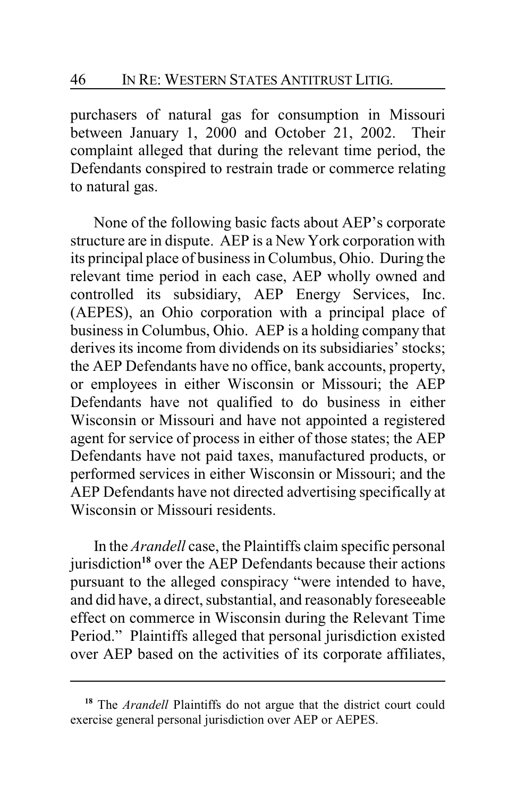purchasers of natural gas for consumption in Missouri between January 1, 2000 and October 21, 2002. Their complaint alleged that during the relevant time period, the Defendants conspired to restrain trade or commerce relating to natural gas.

None of the following basic facts about AEP's corporate structure are in dispute. AEP is a New York corporation with its principal place of business in Columbus, Ohio. During the relevant time period in each case, AEP wholly owned and controlled its subsidiary, AEP Energy Services, Inc. (AEPES), an Ohio corporation with a principal place of business in Columbus, Ohio. AEP is a holding company that derives its income from dividends on its subsidiaries' stocks; the AEP Defendants have no office, bank accounts, property, or employees in either Wisconsin or Missouri; the AEP Defendants have not qualified to do business in either Wisconsin or Missouri and have not appointed a registered agent for service of process in either of those states; the AEP Defendants have not paid taxes, manufactured products, or performed services in either Wisconsin or Missouri; and the AEP Defendants have not directed advertising specifically at Wisconsin or Missouri residents.

In the *Arandell* case, the Plaintiffs claim specific personal jurisdiction**<sup>18</sup>** over the AEP Defendants because their actions pursuant to the alleged conspiracy "were intended to have, and did have, a direct, substantial, and reasonably foreseeable effect on commerce in Wisconsin during the Relevant Time Period." Plaintiffs alleged that personal jurisdiction existed over AEP based on the activities of its corporate affiliates,

**<sup>18</sup>** The *Arandell* Plaintiffs do not argue that the district court could exercise general personal jurisdiction over AEP or AEPES.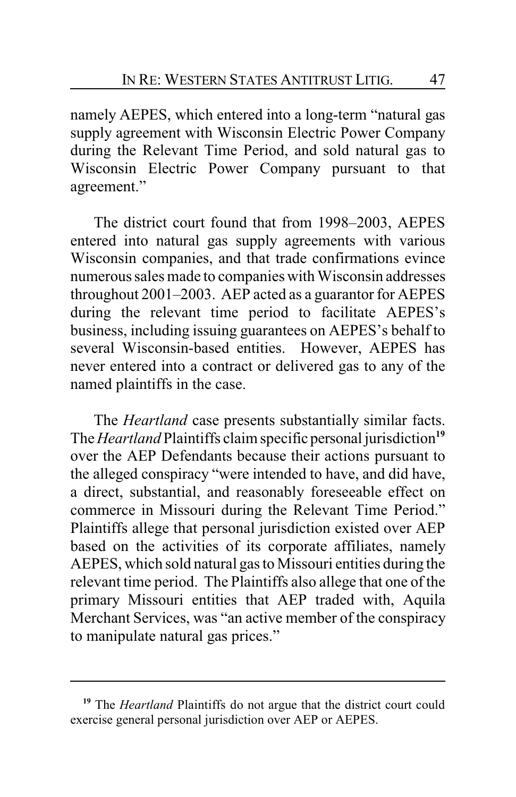namely AEPES, which entered into a long-term "natural gas supply agreement with Wisconsin Electric Power Company during the Relevant Time Period, and sold natural gas to Wisconsin Electric Power Company pursuant to that agreement."

The district court found that from 1998–2003, AEPES entered into natural gas supply agreements with various Wisconsin companies, and that trade confirmations evince numerous sales made to companies with Wisconsin addresses throughout 2001–2003. AEP acted as a guarantor for AEPES during the relevant time period to facilitate AEPES's business, including issuing guarantees on AEPES's behalf to several Wisconsin-based entities. However, AEPES has never entered into a contract or delivered gas to any of the named plaintiffs in the case.

The *Heartland* case presents substantially similar facts. The *Heartland* Plaintiffs claim specific personal jurisdiction**<sup>19</sup>** over the AEP Defendants because their actions pursuant to the alleged conspiracy "were intended to have, and did have, a direct, substantial, and reasonably foreseeable effect on commerce in Missouri during the Relevant Time Period." Plaintiffs allege that personal jurisdiction existed over AEP based on the activities of its corporate affiliates, namely AEPES, which sold natural gas to Missouri entities during the relevant time period. The Plaintiffs also allege that one of the primary Missouri entities that AEP traded with, Aquila Merchant Services, was "an active member of the conspiracy to manipulate natural gas prices."

**<sup>19</sup>** The *Heartland* Plaintiffs do not argue that the district court could exercise general personal jurisdiction over AEP or AEPES.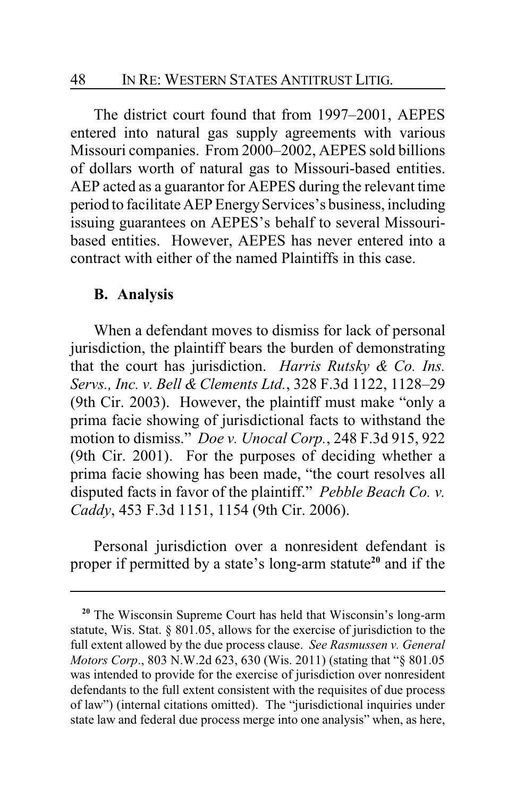The district court found that from 1997–2001, AEPES entered into natural gas supply agreements with various Missouri companies. From 2000–2002, AEPES sold billions of dollars worth of natural gas to Missouri-based entities. AEP acted as a guarantor for AEPES during the relevant time period to facilitate AEP Energy Services's business, including issuing guarantees on AEPES's behalf to several Missouribased entities. However, AEPES has never entered into a contract with either of the named Plaintiffs in this case.

#### **B. Analysis**

When a defendant moves to dismiss for lack of personal jurisdiction, the plaintiff bears the burden of demonstrating that the court has jurisdiction. *Harris Rutsky & Co. Ins. Servs., Inc. v. Bell & Clements Ltd.*, 328 F.3d 1122, 1128–29 (9th Cir. 2003). However, the plaintiff must make "only a prima facie showing of jurisdictional facts to withstand the motion to dismiss." *Doe v. Unocal Corp.*, 248 F.3d 915, 922 (9th Cir. 2001). For the purposes of deciding whether a prima facie showing has been made, "the court resolves all disputed facts in favor of the plaintiff." *Pebble Beach Co. v. Caddy*, 453 F.3d 1151, 1154 (9th Cir. 2006).

Personal jurisdiction over a nonresident defendant is proper if permitted by a state's long-arm statute**<sup>20</sup>** and if the

**<sup>20</sup>** The Wisconsin Supreme Court has held that Wisconsin's long-arm statute, Wis. Stat. § 801.05, allows for the exercise of jurisdiction to the full extent allowed by the due process clause. *See Rasmussen v. General Motors Corp*., 803 N.W.2d 623, 630 (Wis. 2011) (stating that "§ 801.05 was intended to provide for the exercise of jurisdiction over nonresident defendants to the full extent consistent with the requisites of due process of law") (internal citations omitted). The "jurisdictional inquiries under state law and federal due process merge into one analysis" when, as here,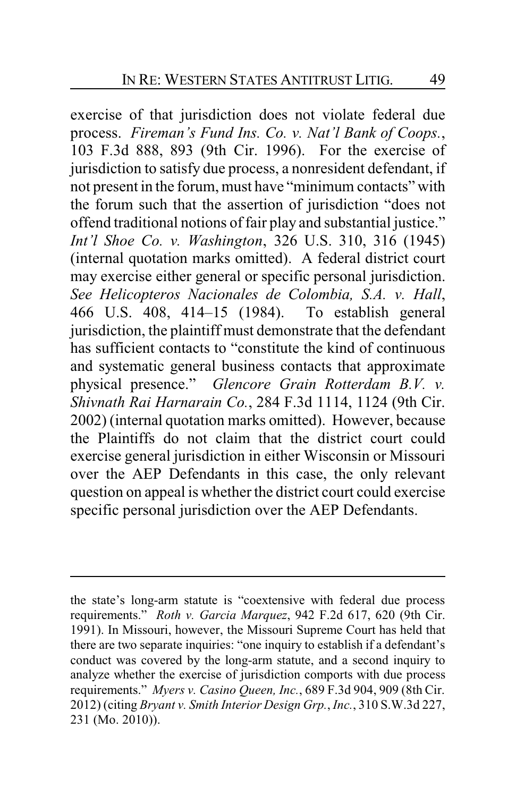exercise of that jurisdiction does not violate federal due process. *Fireman's Fund Ins. Co. v. Nat'l Bank of Coops.*, 103 F.3d 888, 893 (9th Cir. 1996). For the exercise of jurisdiction to satisfy due process, a nonresident defendant, if not present in the forum, must have "minimum contacts" with the forum such that the assertion of jurisdiction "does not offend traditional notions of fair play and substantial justice." *Int'l Shoe Co. v. Washington*, 326 U.S. 310, 316 (1945) (internal quotation marks omitted). A federal district court may exercise either general or specific personal jurisdiction. *See Helicopteros Nacionales de Colombia, S.A. v. Hall*, 466 U.S. 408, 414–15 (1984). To establish general jurisdiction, the plaintiff must demonstrate that the defendant has sufficient contacts to "constitute the kind of continuous and systematic general business contacts that approximate physical presence." *Glencore Grain Rotterdam B.V. v. Shivnath Rai Harnarain Co.*, 284 F.3d 1114, 1124 (9th Cir. 2002) (internal quotation marks omitted). However, because the Plaintiffs do not claim that the district court could exercise general jurisdiction in either Wisconsin or Missouri over the AEP Defendants in this case, the only relevant question on appeal is whether the district court could exercise specific personal jurisdiction over the AEP Defendants.

the state's long-arm statute is "coextensive with federal due process requirements." *Roth v. Garcia Marquez*, 942 F.2d 617, 620 (9th Cir. 1991). In Missouri, however, the Missouri Supreme Court has held that there are two separate inquiries: "one inquiry to establish if a defendant's conduct was covered by the long-arm statute, and a second inquiry to analyze whether the exercise of jurisdiction comports with due process requirements." *Myers v. Casino Queen, Inc.*, 689 F.3d 904, 909 (8th Cir. 2012) (citing *Bryant v. Smith Interior Design Grp.*, *Inc.*, 310 S.W.3d 227, 231 (Mo. 2010)).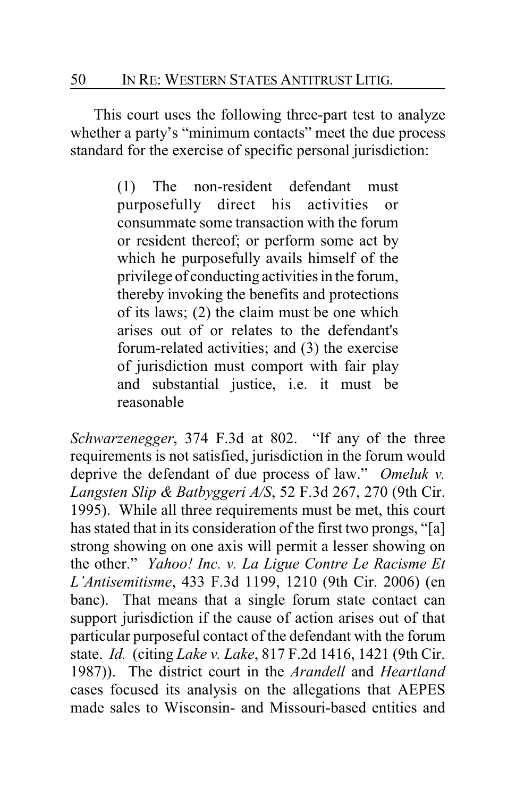This court uses the following three-part test to analyze whether a party's "minimum contacts" meet the due process standard for the exercise of specific personal jurisdiction:

> (1) The non-resident defendant must purposefully direct his activities or consummate some transaction with the forum or resident thereof; or perform some act by which he purposefully avails himself of the privilege of conducting activities in the forum, thereby invoking the benefits and protections of its laws; (2) the claim must be one which arises out of or relates to the defendant's forum-related activities; and (3) the exercise of jurisdiction must comport with fair play and substantial justice, i.e. it must be reasonable

*Schwarzenegger*, 374 F.3d at 802. "If any of the three requirements is not satisfied, jurisdiction in the forum would deprive the defendant of due process of law." *Omeluk v. Langsten Slip & Batbyggeri A/S*, 52 F.3d 267, 270 (9th Cir. 1995). While all three requirements must be met, this court has stated that in its consideration of the first two prongs, "[a] strong showing on one axis will permit a lesser showing on the other." *Yahoo! Inc. v. La Ligue Contre Le Racisme Et L'Antisemitisme*, 433 F.3d 1199, 1210 (9th Cir. 2006) (en banc). That means that a single forum state contact can support jurisdiction if the cause of action arises out of that particular purposeful contact of the defendant with the forum state. *Id.* (citing *Lake v. Lake*, 817 F.2d 1416, 1421 (9th Cir. 1987)). The district court in the *Arandell* and *Heartland* cases focused its analysis on the allegations that AEPES made sales to Wisconsin- and Missouri-based entities and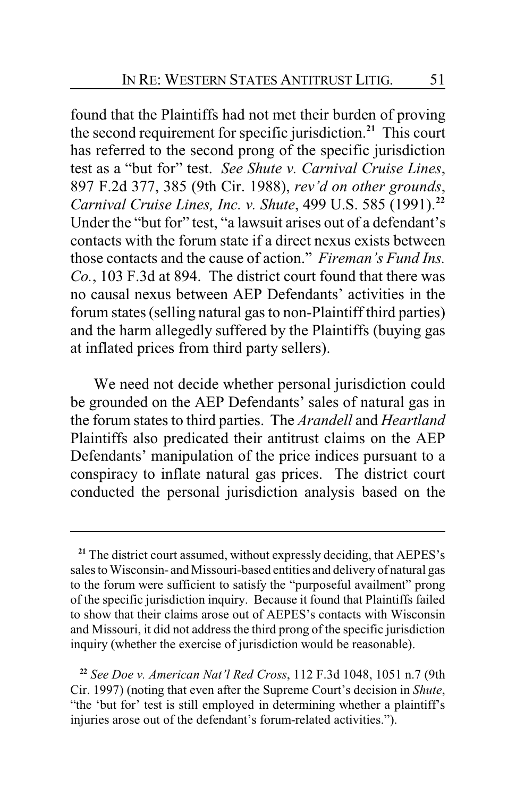found that the Plaintiffs had not met their burden of proving the second requirement for specific jurisdiction.**<sup>21</sup>** This court has referred to the second prong of the specific jurisdiction test as a "but for" test. *See Shute v. Carnival Cruise Lines*, 897 F.2d 377, 385 (9th Cir. 1988), *rev'd on other grounds*, *Carnival Cruise Lines, Inc. v. Shute*, 499 U.S. 585 (1991).**<sup>22</sup>** Under the "but for" test, "a lawsuit arises out of a defendant's contacts with the forum state if a direct nexus exists between those contacts and the cause of action." *Fireman's Fund Ins. Co.*, 103 F.3d at 894. The district court found that there was no causal nexus between AEP Defendants' activities in the forum states (selling natural gas to non-Plaintiff third parties) and the harm allegedly suffered by the Plaintiffs (buying gas at inflated prices from third party sellers).

We need not decide whether personal jurisdiction could be grounded on the AEP Defendants' sales of natural gas in the forum states to third parties. The *Arandell* and *Heartland* Plaintiffs also predicated their antitrust claims on the AEP Defendants' manipulation of the price indices pursuant to a conspiracy to inflate natural gas prices. The district court conducted the personal jurisdiction analysis based on the

<sup>&</sup>lt;sup>21</sup> The district court assumed, without expressly deciding, that AEPES's sales to Wisconsin- and Missouri-based entities and delivery of natural gas to the forum were sufficient to satisfy the "purposeful availment" prong of the specific jurisdiction inquiry. Because it found that Plaintiffs failed to show that their claims arose out of AEPES's contacts with Wisconsin and Missouri, it did not address the third prong of the specific jurisdiction inquiry (whether the exercise of jurisdiction would be reasonable).

**<sup>22</sup>** *See Doe v. American Nat'l Red Cross*, 112 F.3d 1048, 1051 n.7 (9th Cir. 1997) (noting that even after the Supreme Court's decision in *Shute*, "the 'but for' test is still employed in determining whether a plaintiff's injuries arose out of the defendant's forum-related activities.").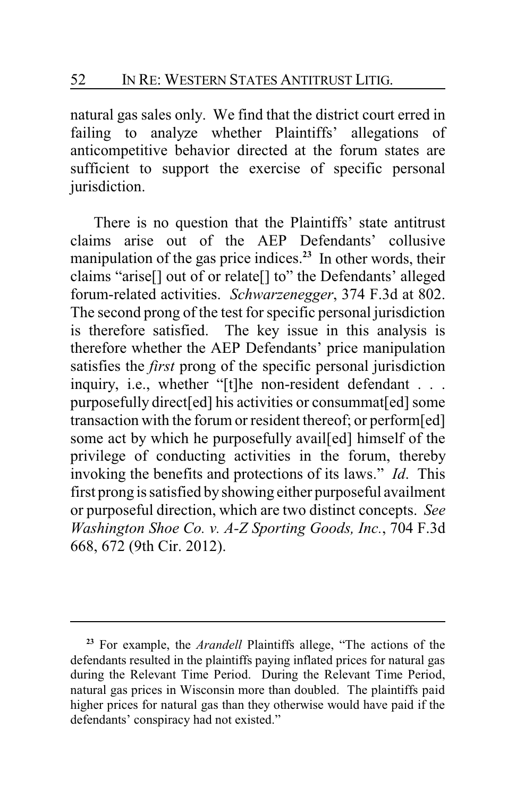natural gas sales only. We find that the district court erred in failing to analyze whether Plaintiffs' allegations of anticompetitive behavior directed at the forum states are sufficient to support the exercise of specific personal jurisdiction.

There is no question that the Plaintiffs' state antitrust claims arise out of the AEP Defendants' collusive manipulation of the gas price indices.**<sup>23</sup>** In other words, their claims "arise[] out of or relate[] to" the Defendants' alleged forum-related activities. *Schwarzenegger*, 374 F.3d at 802. The second prong of the test for specific personal jurisdiction is therefore satisfied. The key issue in this analysis is therefore whether the AEP Defendants' price manipulation satisfies the *first* prong of the specific personal jurisdiction inquiry, i.e., whether "[t]he non-resident defendant . . . purposefully direct [ed] his activities or consummat [ed] some transaction with the forum or resident thereof; or perform[ed] some act by which he purposefully avail[ed] himself of the privilege of conducting activities in the forum, thereby invoking the benefits and protections of its laws." *Id*. This first prong is satisfied by showing either purposeful availment or purposeful direction, which are two distinct concepts. *See Washington Shoe Co. v. A-Z Sporting Goods, Inc.*, 704 F.3d 668, 672 (9th Cir. 2012).

**<sup>23</sup>** For example, the *Arandell* Plaintiffs allege, "The actions of the defendants resulted in the plaintiffs paying inflated prices for natural gas during the Relevant Time Period. During the Relevant Time Period, natural gas prices in Wisconsin more than doubled. The plaintiffs paid higher prices for natural gas than they otherwise would have paid if the defendants' conspiracy had not existed."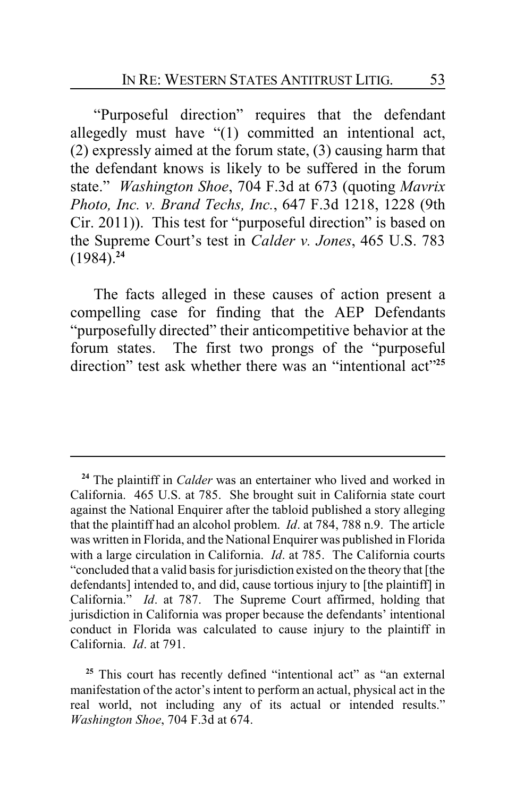"Purposeful direction" requires that the defendant allegedly must have "(1) committed an intentional act, (2) expressly aimed at the forum state, (3) causing harm that the defendant knows is likely to be suffered in the forum state." *Washington Shoe*, 704 F.3d at 673 (quoting *Mavrix Photo, Inc. v. Brand Techs, Inc.*, 647 F.3d 1218, 1228 (9th Cir. 2011)). This test for "purposeful direction" is based on the Supreme Court's test in *Calder v. Jones*, 465 U.S. 783 (1984).**<sup>24</sup>**

The facts alleged in these causes of action present a compelling case for finding that the AEP Defendants "purposefully directed" their anticompetitive behavior at the forum states. The first two prongs of the "purposeful direction" test ask whether there was an "intentional act"**<sup>25</sup>**

**<sup>24</sup>** The plaintiff in *Calder* was an entertainer who lived and worked in California. 465 U.S. at 785. She brought suit in California state court against the National Enquirer after the tabloid published a story alleging that the plaintiff had an alcohol problem. *Id*. at 784, 788 n.9. The article was written in Florida, and the National Enquirer was published in Florida with a large circulation in California. *Id*. at 785. The California courts "concluded that a valid basis for jurisdiction existed on the theory that [the defendants] intended to, and did, cause tortious injury to [the plaintiff] in California." *Id*. at 787. The Supreme Court affirmed, holding that jurisdiction in California was proper because the defendants' intentional conduct in Florida was calculated to cause injury to the plaintiff in California. *Id*. at 791.

<sup>&</sup>lt;sup>25</sup> This court has recently defined "intentional act" as "an external manifestation of the actor's intent to perform an actual, physical act in the real world, not including any of its actual or intended results." *Washington Shoe*, 704 F.3d at 674.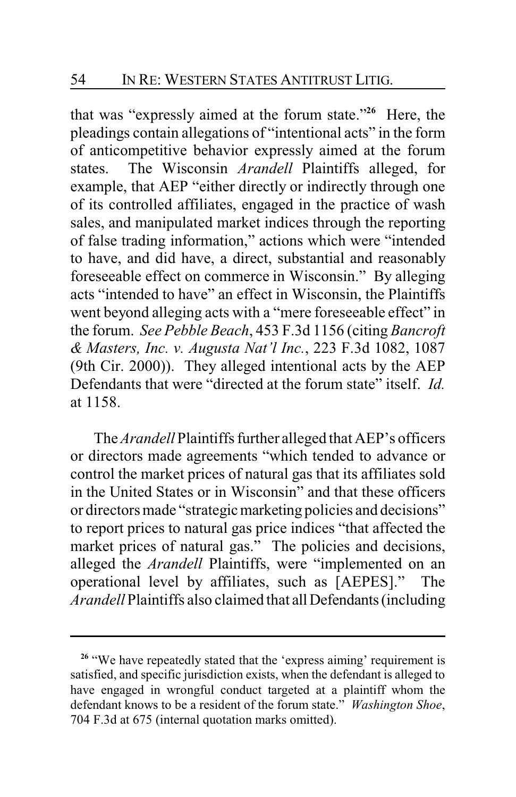that was "expressly aimed at the forum state."**<sup>26</sup>** Here, the pleadings contain allegations of "intentional acts" in the form of anticompetitive behavior expressly aimed at the forum states. The Wisconsin *Arandell* Plaintiffs alleged, for example, that AEP "either directly or indirectly through one of its controlled affiliates, engaged in the practice of wash sales, and manipulated market indices through the reporting of false trading information," actions which were "intended to have, and did have, a direct, substantial and reasonably foreseeable effect on commerce in Wisconsin." By alleging acts "intended to have" an effect in Wisconsin, the Plaintiffs went beyond alleging acts with a "mere foreseeable effect" in the forum. *See Pebble Beach*, 453 F.3d 1156 (citing *Bancroft & Masters, Inc. v. Augusta Nat'l Inc.*, 223 F.3d 1082, 1087 (9th Cir. 2000)). They alleged intentional acts by the AEP Defendants that were "directed at the forum state" itself. *Id.* at 1158.

The *Arandell* Plaintiffs further alleged that AEP's officers or directors made agreements "which tended to advance or control the market prices of natural gas that its affiliates sold in the United States or in Wisconsin" and that these officers or directors made "strategic marketing policies and decisions" to report prices to natural gas price indices "that affected the market prices of natural gas." The policies and decisions, alleged the *Arandell* Plaintiffs, were "implemented on an operational level by affiliates, such as [AEPES]." The *Arandell* Plaintiffs also claimed that all Defendants (including

<sup>&</sup>lt;sup>26</sup> "We have repeatedly stated that the 'express aiming' requirement is satisfied, and specific jurisdiction exists, when the defendant is alleged to have engaged in wrongful conduct targeted at a plaintiff whom the defendant knows to be a resident of the forum state." *Washington Shoe*, 704 F.3d at 675 (internal quotation marks omitted).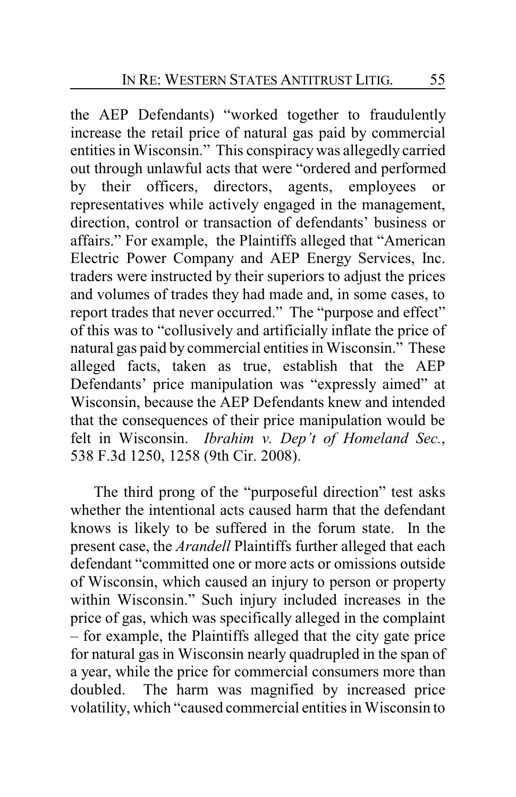the AEP Defendants) "worked together to fraudulently increase the retail price of natural gas paid by commercial entities in Wisconsin." This conspiracywas allegedly carried out through unlawful acts that were "ordered and performed by their officers, directors, agents, employees or representatives while actively engaged in the management, direction, control or transaction of defendants' business or affairs." For example, the Plaintiffs alleged that "American Electric Power Company and AEP Energy Services, Inc. traders were instructed by their superiors to adjust the prices and volumes of trades they had made and, in some cases, to report trades that never occurred." The "purpose and effect" of this was to "collusively and artificially inflate the price of natural gas paid by commercial entities in Wisconsin." These alleged facts, taken as true, establish that the AEP Defendants' price manipulation was "expressly aimed" at Wisconsin, because the AEP Defendants knew and intended that the consequences of their price manipulation would be felt in Wisconsin. *Ibrahim v. Dep't of Homeland Sec.*, 538 F.3d 1250, 1258 (9th Cir. 2008).

The third prong of the "purposeful direction" test asks whether the intentional acts caused harm that the defendant knows is likely to be suffered in the forum state. In the present case, the *Arandell* Plaintiffs further alleged that each defendant "committed one or more acts or omissions outside of Wisconsin, which caused an injury to person or property within Wisconsin." Such injury included increases in the price of gas, which was specifically alleged in the complaint – for example, the Plaintiffs alleged that the city gate price for natural gas in Wisconsin nearly quadrupled in the span of a year, while the price for commercial consumers more than doubled. The harm was magnified by increased price volatility, which "caused commercial entities in Wisconsin to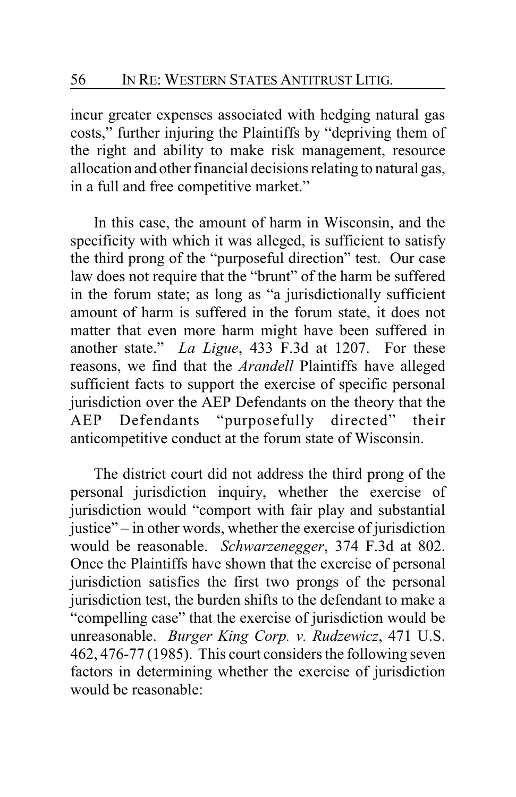incur greater expenses associated with hedging natural gas costs," further injuring the Plaintiffs by "depriving them of the right and ability to make risk management, resource allocation and other financial decisions relating to natural gas, in a full and free competitive market."

In this case, the amount of harm in Wisconsin, and the specificity with which it was alleged, is sufficient to satisfy the third prong of the "purposeful direction" test. Our case law does not require that the "brunt" of the harm be suffered in the forum state; as long as "a jurisdictionally sufficient amount of harm is suffered in the forum state, it does not matter that even more harm might have been suffered in another state." *La Ligue*, 433 F.3d at 1207. For these reasons, we find that the *Arandell* Plaintiffs have alleged sufficient facts to support the exercise of specific personal jurisdiction over the AEP Defendants on the theory that the AEP Defendants "purposefully directed" their anticompetitive conduct at the forum state of Wisconsin.

The district court did not address the third prong of the personal jurisdiction inquiry, whether the exercise of jurisdiction would "comport with fair play and substantial justice" – in other words, whether the exercise of jurisdiction would be reasonable. *Schwarzenegger*, 374 F.3d at 802. Once the Plaintiffs have shown that the exercise of personal jurisdiction satisfies the first two prongs of the personal jurisdiction test, the burden shifts to the defendant to make a "compelling case" that the exercise of jurisdiction would be unreasonable. *Burger King Corp. v. Rudzewicz*, 471 U.S. 462, 476-77 (1985). This court considers the following seven factors in determining whether the exercise of jurisdiction would be reasonable: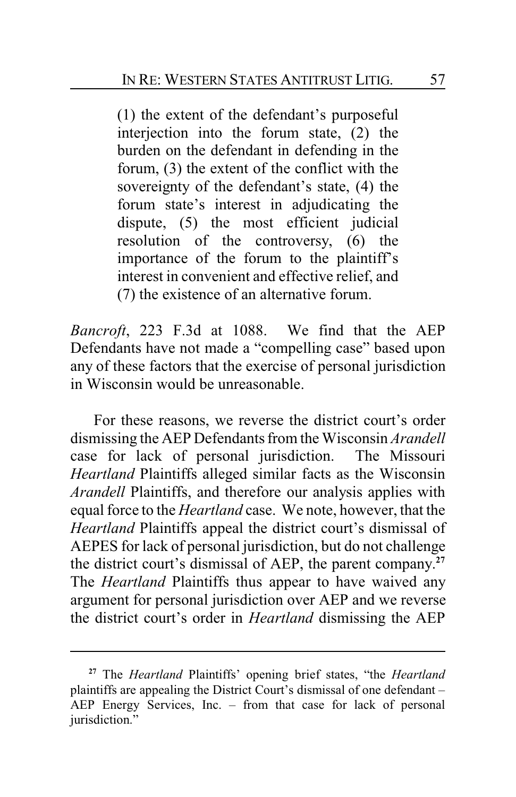(1) the extent of the defendant's purposeful interjection into the forum state, (2) the burden on the defendant in defending in the forum, (3) the extent of the conflict with the sovereignty of the defendant's state, (4) the forum state's interest in adjudicating the dispute, (5) the most efficient judicial resolution of the controversy, (6) the importance of the forum to the plaintiff's interest in convenient and effective relief, and (7) the existence of an alternative forum.

*Bancroft*, 223 F.3d at 1088. We find that the AEP Defendants have not made a "compelling case" based upon any of these factors that the exercise of personal jurisdiction in Wisconsin would be unreasonable.

For these reasons, we reverse the district court's order dismissing the AEP Defendants from the Wisconsin *Arandell* case for lack of personal jurisdiction. The Missouri *Heartland* Plaintiffs alleged similar facts as the Wisconsin *Arandell* Plaintiffs, and therefore our analysis applies with equal force to the *Heartland* case. We note, however, that the *Heartland* Plaintiffs appeal the district court's dismissal of AEPES for lack of personal jurisdiction, but do not challenge the district court's dismissal of AEP, the parent company. **27** The *Heartland* Plaintiffs thus appear to have waived any argument for personal jurisdiction over AEP and we reverse the district court's order in *Heartland* dismissing the AEP

**<sup>27</sup>** The *Heartland* Plaintiffs' opening brief states, "the *Heartland* plaintiffs are appealing the District Court's dismissal of one defendant – AEP Energy Services, Inc. – from that case for lack of personal jurisdiction."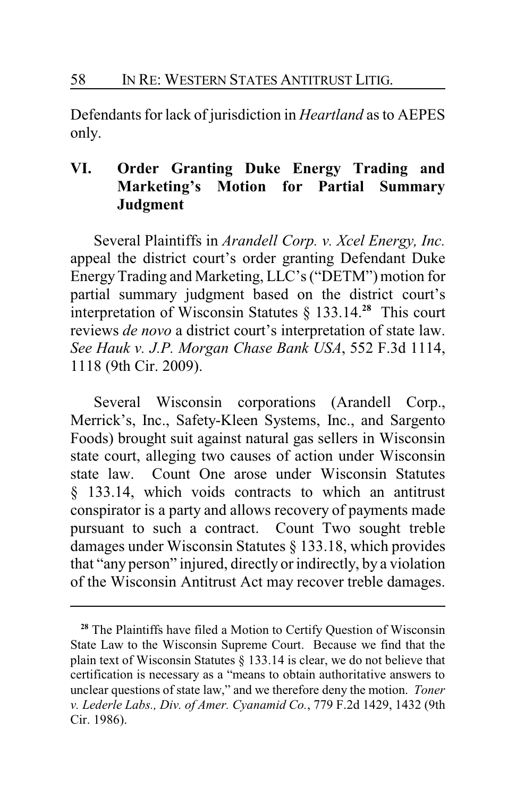Defendants for lack of jurisdiction in *Heartland* as to AEPES only.

## **VI. Order Granting Duke Energy Trading and Marketing's Motion for Partial Summary Judgment**

Several Plaintiffs in *Arandell Corp. v. Xcel Energy, Inc.* appeal the district court's order granting Defendant Duke EnergyTrading and Marketing, LLC's ("DETM") motion for partial summary judgment based on the district court's interpretation of Wisconsin Statutes § 133.14.**<sup>28</sup>** This court reviews *de novo* a district court's interpretation of state law. *See Hauk v. J.P. Morgan Chase Bank USA*, 552 F.3d 1114, 1118 (9th Cir. 2009).

Several Wisconsin corporations (Arandell Corp., Merrick's, Inc., Safety-Kleen Systems, Inc., and Sargento Foods) brought suit against natural gas sellers in Wisconsin state court, alleging two causes of action under Wisconsin state law. Count One arose under Wisconsin Statutes § 133.14, which voids contracts to which an antitrust conspirator is a party and allows recovery of payments made pursuant to such a contract. Count Two sought treble damages under Wisconsin Statutes § 133.18, which provides that "any person" injured, directly or indirectly, by a violation of the Wisconsin Antitrust Act may recover treble damages.

<sup>&</sup>lt;sup>28</sup> The Plaintiffs have filed a Motion to Certify Question of Wisconsin State Law to the Wisconsin Supreme Court. Because we find that the plain text of Wisconsin Statutes § 133.14 is clear, we do not believe that certification is necessary as a "means to obtain authoritative answers to unclear questions of state law," and we therefore deny the motion. *Toner v. Lederle Labs., Div. of Amer. Cyanamid Co.*, 779 F.2d 1429, 1432 (9th Cir. 1986).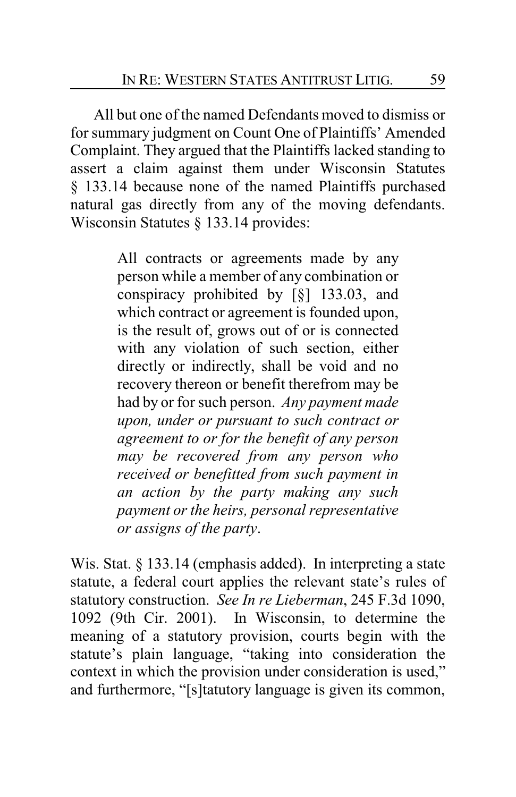All but one of the named Defendants moved to dismiss or for summary judgment on Count One of Plaintiffs' Amended Complaint. They argued that the Plaintiffs lacked standing to assert a claim against them under Wisconsin Statutes § 133.14 because none of the named Plaintiffs purchased natural gas directly from any of the moving defendants. Wisconsin Statutes § 133.14 provides:

> All contracts or agreements made by any person while a member of any combination or conspiracy prohibited by [§] 133.03, and which contract or agreement is founded upon, is the result of, grows out of or is connected with any violation of such section, either directly or indirectly, shall be void and no recovery thereon or benefit therefrom may be had by or for such person. *Any payment made upon, under or pursuant to such contract or agreement to or for the benefit of any person may be recovered from any person who received or benefitted from such payment in an action by the party making any such payment or the heirs, personal representative or assigns of the party*.

Wis. Stat. § 133.14 (emphasis added). In interpreting a state statute, a federal court applies the relevant state's rules of statutory construction. *See In re Lieberman*, 245 F.3d 1090, 1092 (9th Cir. 2001). In Wisconsin, to determine the meaning of a statutory provision, courts begin with the statute's plain language, "taking into consideration the context in which the provision under consideration is used," and furthermore, "[s]tatutory language is given its common,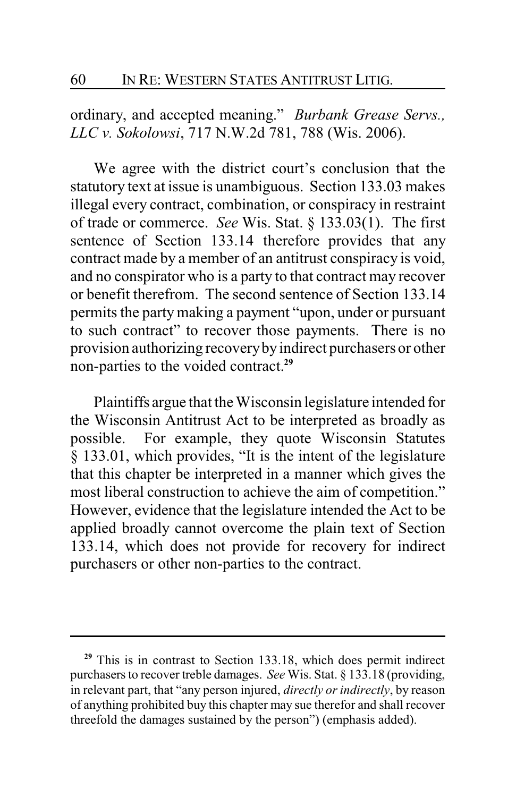ordinary, and accepted meaning." *Burbank Grease Servs., LLC v. Sokolowsi*, 717 N.W.2d 781, 788 (Wis. 2006).

We agree with the district court's conclusion that the statutory text at issue is unambiguous. Section 133.03 makes illegal every contract, combination, or conspiracy in restraint of trade or commerce. *See* Wis. Stat. § 133.03(1). The first sentence of Section 133.14 therefore provides that any contract made by a member of an antitrust conspiracy is void, and no conspirator who is a party to that contract may recover or benefit therefrom. The second sentence of Section 133.14 permits the partymaking a payment "upon, under or pursuant to such contract" to recover those payments. There is no provision authorizing recoverybyindirect purchasers or other non-parties to the voided contract.**<sup>29</sup>**

Plaintiffs argue that the Wisconsin legislature intended for the Wisconsin Antitrust Act to be interpreted as broadly as possible. For example, they quote Wisconsin Statutes § 133.01, which provides, "It is the intent of the legislature that this chapter be interpreted in a manner which gives the most liberal construction to achieve the aim of competition." However, evidence that the legislature intended the Act to be applied broadly cannot overcome the plain text of Section 133.14, which does not provide for recovery for indirect purchasers or other non-parties to the contract.

**<sup>29</sup>** This is in contrast to Section 133.18, which does permit indirect purchasers to recover treble damages. *See* Wis. Stat. § 133.18 (providing, in relevant part, that "any person injured, *directly or indirectly*, by reason of anything prohibited buy this chapter may sue therefor and shall recover threefold the damages sustained by the person") (emphasis added).